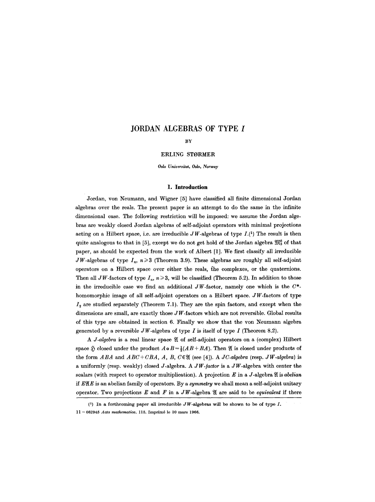# **JORDAN ALGEBRAS OF TYPE I**

# BY

# ERLING STORMER

*Oslo Universitet, Oslo, Norway* 

#### **1. Introduction**

Jordan, von Neumann, and Wigner [5] have classified all finite dimensional Jordan algebras over the reals. The present paper is an attempt to do the same in the infinite dimensional case. The following restriction will be imposed: we assume the Jordan algebras are weakly closed Jordan algebras of self-adjoint operators with minimal projections acting on a Hilbert space, i.e. are irreducible  $JW$ -algebras of type  $I.(1)$  The result is then quite analogous to that in [5], except we do not get hold of the Jordan algebra  $\mathfrak{M}^8_3$  of that paper, as should be expected from the work of Albert [1]. We first classify all irreducible JW-algebras of type  $I_n$ ,  $n\geqslant 3$  (Theorem 3.9). These algebras are roughly all self-adjoint operators on a Hilbert space over either the reals, the complexes, or the quaternions. Then all JW-factors of type  $I_n$ ,  $n \ge 3$ , will be classified (Theorem 5.2). In addition to those in the irreducible case we find an additional  $JW$ -factor, namely one which is the  $C^*$ homomorphic image of all self-adjoint operators on a Hilbert space.  $JW$ -factors of type  $I<sub>2</sub>$  are studied separately (Theorem 7.1). They are the spin factors, and except when the dimensions are small, are exactly those  $JW$ -factors which are not reversible. Global results of this type are obtained in section 6. Finally we show that the yon Neumann algebra generated by a reversible  $JW$ -algebra of type  $I$  is itself of type  $I$  (Theorem 8.2).

A *J-algebra* is a real linear space  $\mathfrak A$  of self-adjoint operators on a (complex) Hilbert space  $\tilde{D}$  closed under the product  $A \circ B = \frac{1}{2}(AB + BA)$ . Then  $\mathfrak A$  is closed under products of the form  $ABA$  and  $ABC+CBA$ , A, B,  $C \in \mathfrak{A}$  (see [4]). A *JC-algebra* (resp. *JW-algebra*) is a uniformly (resp. weakly) closed J-algebra. A *JW-/actor* is a JW-algebra with center the scalars (with respect to operator multiplication). A projection  $E$  in a J-algebra  $\mathfrak A$  is *abelian* if  $E\mathfrak{A}E$  is an abelian family of operators. By a *symmetry* we shall mean a self-adjoint unitary operator. Two projections  $E$  and  $F$  in a JW-algebra  $\mathfrak A$  are said to be *equivalent* if there

<sup>(1)</sup> In a forthcoming paper all irreducible  $JW$ -algebras will be shown to be of type  $I$ . 11- 662945 *Acta mathematica.* 115. Imprim6 le 10 mars 1966.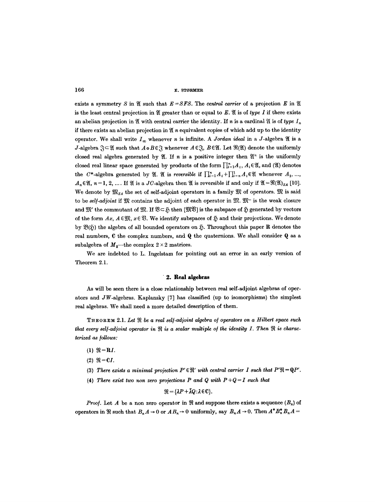exists a symmetry S in  $\mathfrak{A}$  such that  $E = SFS$ . The *central carrier* of a projection E in  $\mathfrak{A}$ is the least central projection in  $\mathfrak A$  greater than or equal to E.  $\mathfrak A$  is of *type I* if there exists an abelian projection in  $\mathfrak A$  with central carrier the identity. If *n* is a cardinal  $\mathfrak A$  is of *type*  $I_n$ if there exists an abelian projection in  $\mathfrak A$  n equivalent copies of which add up to the identity operator. We shall write  $I_{\infty}$  whenever *n* is infinite. A *Jordan ideal* in a *J*-algebra  $\mathfrak{A}$  is a J-algebra  $\mathfrak{F} \subset \mathfrak{A}$  such that  $A \circ B \in \mathfrak{F}$  whenever  $A \in \mathfrak{F}$ ,  $B \in \mathfrak{A}$ . Let  $\mathfrak{R}(\mathfrak{A})$  denote the uniformly closed real algebra generated by  $\mathfrak{A}$ . If n is a positive integer then  $\mathfrak{A}^n$  is the uniformly closed real linear space generated by products of the form  $\prod_{i=1}^{n} A_i$ ,  $A_i \in \mathfrak{A}$ , and ( $\mathfrak{A}$ ) denotes the C\*-algebra generated by  $\mathfrak{A}$ .  $\mathfrak{A}$  is *reversible* if  $\prod_{i=1}^n A_i + \prod_{i=n}^1 A_i \in \mathfrak{A}$  whenever  $A_1, ...,$  $A_n \in \mathfrak{A}, n=1, 2, \ldots$  If  $\mathfrak A$  is a JC-algebra then  $\mathfrak A$  is reversible if and only if  $\mathfrak{A}=\mathfrak{R}(\mathfrak{A})_{SA}$  [10]. We denote by  $\mathfrak{M}_{SA}$  the set of self-adjoint operators in a family  $\mathfrak{M}$  of operators.  $\mathfrak{M}$  is said to be *self-adjoint* if  $\mathfrak{M}$  contains the adjoint of each operator in  $\mathfrak{M}$ .  $\mathfrak{M}$ - is the weak closure and  $\mathfrak{M}'$  the commutant of  $\mathfrak{M}$ . If  $\mathfrak{V}\subset \mathfrak{H}$  then  $\lceil \mathfrak{M}\mathfrak{V}\rceil$  is the subspace of  $\mathfrak{H}$  generated by vectors of the form  $Ax, A \in \mathfrak{M}, x \in \mathfrak{B}$ . We identify subspaces of  $\mathfrak{H}$  and their projections. We denote by  $\mathfrak{B}(\mathfrak{H})$  the algebra of all bounded operators on  $\mathfrak{H}$ . Throughout this paper R denotes the real numbers, C the complex numbers, and Q the quaternions. We shall consider Q as a subalgebra of  $M_2$ —the complex  $2 \times 2$  matrices.

We are indebted to L. Ingelstam for pointing out an error in an early version of Theorem 2.1.

#### **"2. Real algebras**

As will be seen there is a close relationship between real seif-adjoint algebras of operators and  $JW$ -algebras. Kaplansky [7] has classified (up to isomorphisms) the simplest real algebras. We shall need a more detailed description of them.

THEOREM 2.1. Let  $\Re$  be a real self-adjoint algebra of operators on a Hilbert space such that every self-adjoint operator in  $\Re$  is a scalar multiple of the identity I. Then  $\Re$  is characterized as *follows*:

- (1)  $\Re = RI$ .
- $(2)$   $\Re = C I$ .
- (3) There exists a minimal projection  $P' \in \mathcal{H}'$  with central carrier I such that  $P' \mathcal{H} = \mathbf{Q}P'$ .
- (4) *There exist two non zero projections P and Q with*  $P+Q=I$  *such that*

 $\mathfrak{R} = {\lambda P + \bar{\lambda} Q : \lambda \in \mathbb{C}}.$ 

*Proof.* Let A be a non zero operator in  $\mathfrak{R}$  and suppose there exists a sequence  $(B_n)$  of operators in  $\Re$  such that  $B_n A \to 0$  or  $AB_n \to 0$  uniformly, say  $B_n A \to 0$ . Then  $A^* B_n^* B_n A =$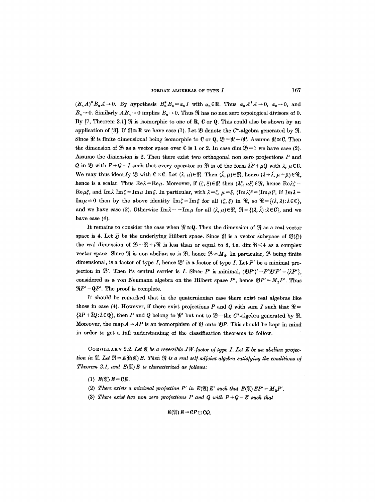$(B_nA)^*B_nA\to 0$ . By hypothesis  $B_n^*B_n=\alpha_nI$  with  $\alpha_n\in\mathbb{R}$ . Thus  $\alpha_nA^*A\to 0$ ,  $\alpha_n\to 0$ , and  $B_n \rightarrow 0$ . Similarly  $AB_n \rightarrow 0$  implies  $B_n \rightarrow 0$ . Thus  $\Re$  has no non zero topological divisors of 0. By [7, Theorem 3.1]  $\Re$  is isomorphic to one of R, C or Q. This could also be shown by an application of [3]. If  $\mathfrak{R} \cong \mathbf{R}$  we have case (1). Let  $\mathfrak{B}$  denote the C\*-algebra generated by  $\mathfrak{R}$ . Since  $\mathfrak{R}$  is finite dimensional being isomorphic to C or Q,  $\mathfrak{B} = \mathfrak{R} + i\mathfrak{R}$ . Assume  $\mathfrak{R} \cong \mathbb{C}$ . Then the dimension of  $\mathfrak{B}$  as a vector space over C is 1 or 2. In case dim  $\mathfrak{B} = 1$  we have case (2). Assume the dimension is 2. Then there exist two orthogonal non zero projections  $P$  and Q in  $\mathfrak{B}$  with  $P+Q=I$  such that every operator in  $\mathfrak{B}$  is of the form  $\lambda P+\mu Q$  with  $\lambda, \mu \in \mathbb{C}$ . We may thus identify  $\mathfrak{B}$  with  $C \times C$ . Let  $(\lambda, \mu) \in \mathfrak{R}$ . Then  $(\bar{\lambda}, \bar{\mu}) \in \mathfrak{R}$ , hence  $(\lambda + \bar{\lambda}, \mu + \bar{\mu}) \in \mathfrak{R}$ , hence is a scalar. Thus  $Re \lambda = Re \mu$ . Moreover, if  $(\zeta, \xi) \in \mathcal{R}$  then  $(\lambda \zeta, \mu \xi) \in \mathcal{R}$ , hence  $Re \lambda \zeta =$  $\text{Re}\,\mu\xi$ , and Im $\lambda \text{ Im }\zeta = \text{Im }\mu \text{ Im }\xi$ . In particular, with  $\lambda = \zeta, \mu = \xi, (\text{Im }\lambda)^2 = (\text{Im }\mu)^2$ , If Im $\lambda = \mu$  $\text{Im}\,\mu=0$  then by the above identity  $\text{Im}\,\zeta=\text{Im}\,\xi$  for all  $(\zeta,\xi)$  in  $\mathfrak{R}$ , so  $\mathfrak{R}=\{(\lambda,\lambda):\lambda\in\mathbb{C}\},$ and we have case (2). Otherwise  $\text{Im}\lambda = -\text{Im}\mu$  for all  $(\lambda, \mu) \in \mathfrak{R}$ ,  $\mathfrak{R} = \{(\lambda, \bar{\lambda}) : \lambda \in \mathbb{C}\}$ , and we have case  $(4)$ .

It remains to consider the case when  $\mathfrak{R} \cong \mathbb{Q}$ . Then the dimension of  $\mathfrak{R}$  as a real vector space is 4. Let  $~\mathfrak H~$  be the underlying Hilbert space. Since  $~\mathfrak{R}$  is a vector subspace of  $~\mathfrak{B}(\mathfrak{H})$ the real dimension of  $\mathfrak{B}=\mathfrak{R}+i\mathfrak{R}$  is less than or equal to 8, i.e. dim $\mathfrak{B}\leq 4$  as a complex vector space. Since  $\Re$  is non abelian so is  $\Re$ , hence  $\Re \cong M_2$ . In particular,  $\Re$  being finite dimensional, is a factor of type I, hence  $\mathfrak{B}'$  is a factor of type I. Let P' be a minimal projection in  $\mathfrak{B}'$ . Then its central carrier is *I*. Since P' is minimal,  $(\mathfrak{B}P')' = P'\mathfrak{B}'P' = {\lambda P'}$ , considered as a von Neumann algebra on the Hilbert space P', hence  $\mathcal{B}P' = M_{2}P'$ . Thus  $\Re P' = \mathbf{Q}P'$ . The proof is complete.

It should be remarked that in the quaternionian ease there exist real algebras like those in case (4). However, if there exist projections P and Q with sum I such that  $\mathfrak{R} =$  $\{\lambda P+\bar{\lambda}Q:\lambda\in Q\}$ , then P and Q belong to  $\mathfrak{R}'$  but not to  $\mathfrak{B}$ —the C\*-algebra generated by  $\mathfrak{R}$ . Moreover, the map  $A \rightarrow AP$  is an isomorphism of  $\mathfrak B$  onto  $\mathfrak B P$ . This should be kept in mind in order to get a full understanding of the classification theorems to follow.

COROLLARY 2.2. Let  $\mathfrak A$  be a reversible JW-factor of type I. Let E be an abelian projec*tion in*  $\mathfrak{A}.$  Let  $\mathfrak{R} = E\mathfrak{R}(\mathfrak{A})E.$  Then  $\mathfrak{R}$  is a real self-adjoint algebra satisfying the conditions of *Theorem 2.1, and*  $E(\mathfrak{A})E$  *is characterized as follows:* 

- (1)  $E(\mathfrak{A})E=CE$ .
- (2) There exists a minimal projection P' in  $E(\mathfrak{A}) E'$  such that  $E(\mathfrak{A}) E P' = M_{2} P'$ .
- (3) There exist two non zero projections P and Q with  $P+Q=E$  such that

 $E(\mathfrak{A})E = \mathbf{C}P \oplus \mathbf{C}Q.$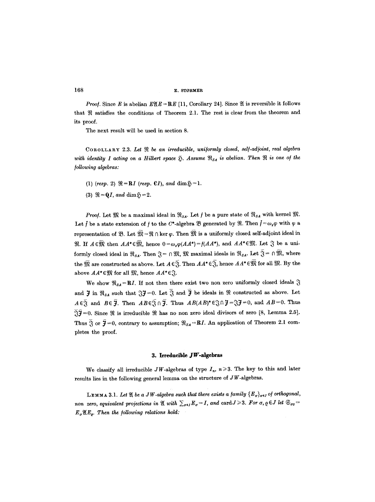**168 v.** STØRMER

*Proof.* Since E is abelian  $E(X) = RE$  [11, Corollary 24]. Since  $X$  is reversible it follows that  $\Re$  satisfies the conditions of Theorem 2.1. The rest is clear from the theorem and its proof.

The next result will be used in section 8.

COROLLARY 2.3. Let  $\Re$  be an irreducible, uniformly closed, self-adjoint, real algebra *with identity I acting on a Hilbert space*  $\mathfrak{D}$ . Assume  $\mathfrak{R}_{SA}$  is abelian. Then  $\mathfrak{R}$  is one of the */ollowing algebras:* 

- (1) *(resp.* 2)  $\mathfrak{R} = \mathbb{R}I$  *(resp.* CI*)*, and dim $\mathfrak{H} = 1$ .
- (3)  $\mathfrak{R} = QI$ , and  $\dim \mathfrak{H} = 2$ .

*Proof.* Let  $\mathfrak{M}$  be a maximal ideal in  $\mathfrak{R}_{SA}$ . Let f be a pure state of  $\mathfrak{R}_{SA}$  with kernel  $\mathfrak{M}$ . Let *I* be a state extension of *f* to the C\*-algebra  $\mathfrak B$  generated by  $\mathfrak R$ . Then  $\tilde{f} = \omega_x \varphi$  with  $\varphi$  a representation of  $\mathfrak{B}$ . Let  $\overline{\mathfrak{M}} = \mathfrak{R} \cap \ker \varphi$ . Then  $\overline{\mathfrak{M}}$  is a uniformly closed self-adjoint ideal in  $\mathfrak{R}.$  If  $A\in\overline{\mathfrak{M}}$  then  $AA^*\in\overline{\mathfrak{M}}$ , hence  $0=\omega_x\varphi(AA^*)=f(AA^*)$ , and  $AA^*\in\mathfrak{M}$ . Let  $\mathfrak{J}$  be a uniformly closed ideal in  $\mathfrak{R}_{SA}$ . Then  $\mathfrak{F} = \cap \mathfrak{M}$ ,  $\mathfrak{M}$  maximal ideals in  $\mathfrak{R}_{SA}$ . Let  $\bar{\mathfrak{F}} = \cap \bar{\mathfrak{M}}$ , where the  $\mathfrak{M}$  are constructed as above. Let  $A \in \overline{\mathfrak{F}}$ . Then  $AA^* \in \overline{\mathfrak{F}}$ , hence  $AA^* \in \overline{\mathfrak{M}}$  for all  $\mathfrak{M}$ . By the above  $AA^* \in \mathfrak{M}$  for all  $\mathfrak{M}$ , hence  $AA^* \in \mathfrak{J}$ .

We show  $\Re_{SA} = RI$ . If not then there exist two non zero uniformly closed ideals  $\mathcal{S}$ and  $\ddot{\mathbf{J}}$  in  $\mathfrak{R}_{SA}$  such that  $\mathfrak{F} = 0$ . Let  $\ddot{\mathfrak{F}}$  and  $\ddot{\mathbf{J}}$  be ideals in  $\Re$  constructed as above. Let  $A \in \overline{S}$  and  $B \in \overline{J}$ . Then  $AB \in \overline{S} \cap \overline{J}$ . Thus  $AB(AB)^* \in \mathcal{S} \cap \overline{J} = \mathcal{S} \overline{J} = 0$ , and  $AB = 0$ . Thus  $\Im \bar{\mathfrak{F}}=0.$  Since  $\Re$  is irreducible  $\Re$  has no non zero ideal divisors of zero [8, Lemma 2.5]. Thus  $\overline{\hat{S}}$  or  $\overline{\hat{J}}=0$ , contrary to assumption;  $\Re_{SA} = RI$ . An application of Theorem 2.1 completes the proof.

## 3. Irreducible JW-algebras

We classify all irreducible JW-algebras of type  $I_n$ ,  $n\geq 3$ . The key to this and later results lies in the following general lemma on the structure of J W-algebras.

**LEMMA 3.1.** Let  $\mathfrak A$  be a JW-algebra such that there exists a family  $\{E_{\sigma}\}_{{\sigma}\in J}$  of orthogonal, *non zero, equivalent projections in*  $\mathfrak{A}$  with  $\sum_{\sigma \in I} E_{\sigma} = I$ , and  $\text{card }J \geq 3$ . For  $\sigma$ ,  $\rho \in J$  let  $\mathfrak{S}_{\sigma \rho} =$  $E_{\sigma} \mathfrak{A} E_{o}$ . Then the following relations hold: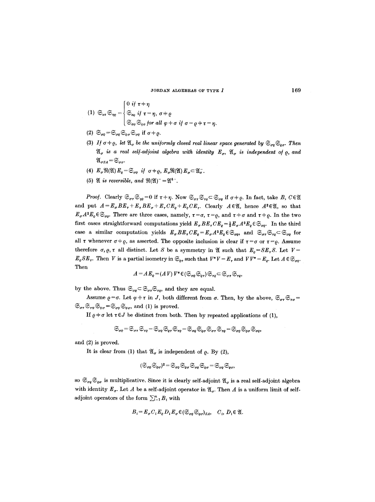JORDAN ALGEBRAS OF TYPE  $I$  169

(1) 
$$
\mathfrak{S}_{\sigma\tau}\mathfrak{S}_{\eta\varrho}=\begin{cases} 0 & \text{if } \tau=\eta \\ \mathfrak{S}_{\sigma\varrho} & \text{if } \tau=\eta, \sigma+\varrho \\ \mathfrak{S}_{\sigma\varphi}\mathfrak{S}_{\varphi\sigma} & \text{for all } \varphi+\sigma & \text{if } \sigma=\varrho+\tau=\eta. \end{cases}
$$

- (2)  $\mathfrak{S}_{\sigma\rho} = \mathfrak{S}_{\sigma\rho} \mathfrak{S}_{\rho\sigma} \mathfrak{S}_{\sigma\rho}$  if  $\sigma \neq \rho$ .
- (3) *If*  $\sigma \neq \rho$ , let  $\mathfrak{A}_{\sigma}$  be the uniformly closed real linear space generated by  $\mathfrak{S}_{\sigma\rho} \mathfrak{S}_{\varrho\sigma}$ . Then  $\mathfrak{A}_{\sigma}$  is a real self-adjoint algebra with identity  $E_{\sigma}$ ,  $\mathfrak{A}_{\sigma}$  is independent of  $\rho$ , and  $\mathfrak{A}_{\sigma SA} = \mathfrak{S}_{\sigma \sigma}.$
- (4)  $E_{\sigma} \Re(\mathfrak{A}) E_{\varrho} = \mathfrak{S}_{\sigma \varrho} \text{ if } \sigma \neq \varrho, E_{\sigma} \Re(\mathfrak{A}) E_{\sigma} \subset \mathfrak{A}_{\sigma}^{-}.$
- (5)  $\mathfrak{A}$  *is reversible, and*  $\mathfrak{R}(\mathfrak{A})^- = \mathfrak{A}^{4-}$ .

*Proof.* Clearly  $\mathfrak{S}_{\sigma\tau}\mathfrak{S}_{\eta\theta}=0$  if  $\tau\neq\eta$ . Now  $\mathfrak{S}_{\sigma\tau}\mathfrak{S}_{\tau\theta}\subset \mathfrak{S}_{\sigma\theta}$  if  $\sigma\neq\varrho$ . In fact, take B,  $C\in\mathfrak{A}$ and put  $A=E_{\sigma}BE_{\tau}+E_{\tau}BE_{\sigma}+E_{\tau}CE_{\rho}+E_{\rho}CE_{\tau}$ . Clearly  $A\in\mathfrak{A}$ , hence  $A^2\in\mathfrak{A}$ , so that  $E_{\sigma}A^2E_{\varrho}\in\mathfrak{S}_{\sigma\rho}$ . There are three cases, namely,  $\tau=\sigma$ ,  $\tau=\varrho$ , and  $\tau+\sigma$  and  $\tau+\varrho$ . In the two first cases straightforward computations yield  $E_{\sigma} BE_{\tau} CE_{\sigma} = \frac{1}{2} E_{\sigma} A^2 E_{\rho} \in \mathfrak{S}_{\sigma\rho}$ . In the third case a similar computation yields  $E_{\sigma} BE_{\tau} CE_{\sigma} = E_{\sigma} A^2 E_{\sigma} \in \mathfrak{S}_{\sigma\rho}$ , and  $\mathfrak{S}_{\sigma\tau} \mathfrak{S}_{\tau\rho} \subset \mathfrak{S}_{\sigma\rho}$  for all  $\tau$  whenever  $\sigma \neq \rho$ , as asserted. The opposite inclusion is clear if  $\tau = \sigma$  or  $\tau = \rho$ . Assume therefore  $\sigma$ ,  $\rho$ ,  $\tau$  all distinct. Let S be a symmetry in  $\mathfrak{A}$  such that  $E_{\rho} = SE_{\tau} S$ . Let  $V =$  $E_{\varrho}SE_{\tau}$ . Then V is a partial isometry in  $\mathfrak{S}_{\varrho_{\tau}}$  such that  $V^*V = E_{\tau}$  and  $VV^* = E_{\varrho}$ . Let  $A \in \mathfrak{S}_{\sigma\varrho}$ . Then

$$
A=A\,E_{\varrho}\!=\!(A\,V)\,V^*\!\in\!(\mathfrak{S}_{\sigma\varrho}\mathfrak{S}_{\varrho\tau})\mathfrak{S}_{\tau\varrho}\!\subset\!\mathfrak{S}_{\sigma\tau}\mathfrak{S}_{\tau\varrho}
$$

by the above. Thus  $\mathfrak{S}_{\sigma\rho} \subset \mathfrak{S}_{\sigma\tau} \mathfrak{S}_{\tau\rho}$ , and they are equal.

Assume  $\rho = \sigma$ . Let  $\varphi \neq \tau$  in J, both different from  $\sigma$ . Then, by the above,  $\mathfrak{S}_{\sigma\tau} \mathfrak{S}_{\tau\sigma} =$  $\mathfrak{S}_{\sigma\tau}\mathfrak{S}_{\tau\varphi}\mathfrak{S}_{\varphi\sigma}=\mathfrak{S}_{\sigma\varphi}\mathfrak{S}_{\varphi\sigma}$ , and (1) is proved.

If  $\rho + \sigma$  let  $\tau \in J$  be distinct from both. Then by repeated applications of (1),

$$
\mathfrak{S}_{\sigma\varrho}\!=\!\mathfrak{S}_{\sigma\tau}\,\mathfrak{S}_{\tau\varrho}\!=\!\mathfrak{S}_{\sigma\varrho}\,\mathfrak{S}_{\varrho\tau}\,\mathfrak{S}_{\tau\varrho}\!=\!\mathfrak{S}_{\sigma\varrho}\,\mathfrak{S}_{\varrho\sigma}\,\mathfrak{S}_{\sigma\tau}\,\mathfrak{S}_{\tau\varrho}\!=\!\mathfrak{S}_{\sigma\varrho}\,\mathfrak{S}_{\varrho\sigma}\,\mathfrak{S}_{\sigma\varrho},
$$

and (2) is proved.

It is clear from (1) that  $\mathfrak{A}_{\sigma}$  is independent of  $\rho$ . By (2),

$$
(\mathfrak{S}_{\sigma\varrho}\mathfrak{S}_{\varrho\sigma})^2\!=\!\mathfrak{S}_{\sigma\varrho}\mathfrak{S}_{\varrho\sigma}\mathfrak{S}_{\sigma\varrho}\mathfrak{S}_{\varrho\sigma}\!=\!\mathfrak{S}_{\sigma\varrho}\mathfrak{S}_{\varrho\sigma},
$$

so  $\mathfrak{S}_{\sigma\rho} \mathfrak{S}_{\rho\sigma}$  is multiplicative. Since it is clearly self-adjoint  $\mathfrak{A}_{\sigma}$  is a real self-adjoint algebra with identity  $E_{\sigma}$ . Let A be a self-adjoint operator in  $\mathfrak{A}_{\sigma}$ . Then A is a uniform limit of selfadjoint operators of the form  $\sum_{i=1}^m B_i$  with

$$
B_i = E_{\sigma} C_i E_{\varrho} D_i E_{\sigma} \in (\mathfrak{S}_{\sigma \varrho} \mathfrak{S}_{\varrho \sigma})_{SA}, \quad C_i, D_i \in \mathfrak{A}.
$$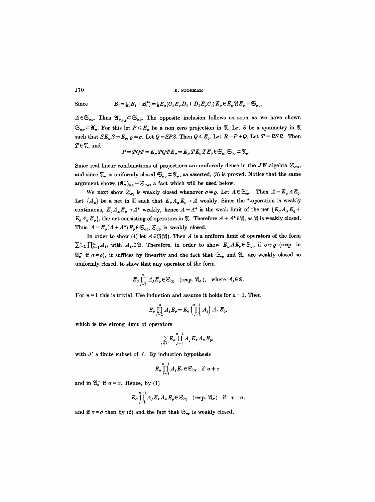Since  $B_i = \frac{1}{2}(B_i + B_i^*) = \frac{1}{2}E_{\sigma}(C_i E_{\rho} D_i + D_i E_{\rho} C_i) E_{\sigma} \in E_{\sigma} \mathfrak{A} E_{\sigma} = \mathfrak{S}_{\sigma \sigma}$ ,

 $A\in\mathfrak{S}_{\sigma\sigma}$ . Thus  $\mathfrak{A}_{\sigma_{SA}}\subset\mathfrak{S}_{\sigma\sigma}$ . The opposite inclusion follows as soon as we have shown  $\mathfrak{S}_{\sigma\sigma}\subset \mathfrak{A}_{\sigma}$ . For this let  $P\leqslant E_{\sigma}$  be a non zero projection in  $\mathfrak{A}$ . Let S be a symmetry in  $\mathfrak{A}$ such that  $SE_{\sigma}S=E_{\rho}$ ,  $\rho+\sigma$ . Let  $Q=SPS$ . Then  $Q \leq E_{\rho}$ . Let  $R=P+Q$ . Let  $T=RSR$ . Then  $T \in \mathfrak{A}$ , and

$$
P=TQ T=E_{\sigma}TQ TE_{\sigma}=E_{\sigma} TE_{\varrho} TE_{\sigma} \in \mathfrak{S}_{\sigma\varrho}\mathfrak{S}_{\varrho\sigma}\subset \mathfrak{A}_{\sigma}.
$$

Since real linear combinations of projections are uniformly dense in the JW-algebra  $\mathfrak{S}_{\sigma\sigma}$ , and since  $\mathfrak{A}_{\sigma}$  is uniformly closed  $\mathfrak{S}_{\sigma\sigma} \subset \mathfrak{A}_{\sigma}$ , as asserted, (3) is proved. Notice that the same argument shows  $(\mathfrak{A}_{\sigma}^{-})_{SA} = \mathfrak{S}_{\sigma\sigma}$ , a fact which will be used below.

We next show  $\mathfrak{S}_{\sigma\rho}$  is weakly closed whenever  $\sigma\neq\rho$ . Let  $A\in\mathfrak{S}_{\sigma\rho}^-$ . Then  $A=E_{\sigma}AE_{\rho}$ . Let  $\{A_\alpha\}$  be a net in  $\mathfrak A$  such that  $E_\sigma A_\alpha E_\rho \rightarrow A$  weakly. Since the \*-operation is weakly continuous,  $E_{\rho}A_{\alpha}E_{\sigma} \rightarrow A^*$  weakly, hence  $A + A^*$  is the weak limit of the net  $\{E_{\sigma}A_{\alpha}E_{\sigma}+$  $E_q A_\alpha E_\sigma$ , the net consisting of operators in  $\mathfrak{A}$ . Therefore  $A + A^* \in \mathfrak{A}$ , as  $\mathfrak{A}$  is weakly closed. Thus  $A = E_{\sigma}(A + A^*) E_{\rho} \in \mathfrak{S}_{\sigma\rho}$ ,  $\mathfrak{S}_{\sigma\rho}$  is weakly closed.

In order to show (4) let  $A \in \mathfrak{R}(\mathfrak{A})$ . Then A is a uniform limit of operators of the form  $\sum_{i=1}^n\prod_{j=1}^{m_i}A_{ij}$  with  $A_{ij}\in\mathfrak{A}$ . Therefore, in order to show  $E_{\sigma}AE_{\varrho}\in\mathfrak{S}_{\sigma\rho}$  if  $\sigma\neq\varrho$  (resp. in  $\mathfrak{A}_{\sigma}^-$  if  $\sigma = \varrho$ ), it suffices by linearity and the fact that  $\mathfrak{S}_{\sigma_{\varrho}}$  and  $\mathfrak{A}_{\sigma}^-$  are weakly closed so uniformly closed, to show that any operator of the form

$$
E_{\sigma} \prod_{j=1}^{n} A_{j} E_{\varrho} \in \mathfrak{S}_{\sigma_{\varrho}} \quad (\text{resp. } \mathfrak{A}_{\sigma}^{-}), \quad \text{where } A_{j} \in \mathfrak{A}.
$$

For  $n = 1$  this is trivial. Use induction and assume it holds for  $n-1$ . Then

$$
E_{\sigma}\prod_{j=1}^n A_j E_{\varrho}=E_{\sigma}\left(\prod_{j=1}^{n-1} A_j\right) A_n E_{\varrho},
$$

which is the strong limit of operators

$$
\sum_{\tau \in J'} E_{\sigma} \prod_{j=1}^{n-1} A_j E_{\tau} A_n E_{\varrho},
$$

with *J'* a finite subset of *J*. By induction hypothesis

$$
E_{\sigma}\prod_{j=1}^{n-1}A_jE_{\tau}\in\mathfrak{S}_{\sigma\tau}\quad\text{if}\;\;\sigma\neq\tau
$$

and in  $\mathfrak{A}_{\sigma}^-$  if  $\sigma = \tau$ . Hence, by (1)

$$
E_{\sigma}\prod_{j=1}^{n-1}A_{j}E_{\tau}A_{n}E_{\varrho}\in\mathfrak{S}_{\sigma_{\varrho}} \quad (\text{resp. } \mathfrak{A}_{\sigma}^{-}) \quad \text{if} \quad \tau\neq\sigma,
$$

and if  $\tau = \sigma$  then by (2) and the fact that  $\mathfrak{S}_{\sigma \varrho}$  is weakly closed,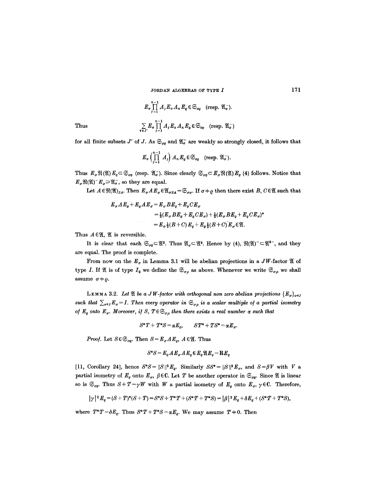Thus  
\n
$$
E_{\sigma} \prod_{j=1}^{n-1} A_j E_{\sigma} A_n E_{\varrho} \in \mathfrak{S}_{\sigma\varrho} \quad (\text{resp. } \mathfrak{A}_{\sigma}^{-}).
$$
\n
$$
\sum_{\tau \in J'} E_{\sigma} \prod_{j=1}^{n-1} A_j E_{\tau} A_n E_{\varrho} \in \mathfrak{S}_{\sigma\varrho} \quad (\text{resp. } \mathfrak{A}_{\sigma}^{-}).
$$

for all finite subsets 
$$
J'
$$
 of  $J$ . As  $\mathfrak{S}_{\sigma\varrho}$  and  $\mathfrak{A}_{\sigma}^-$  are weakly so strongly closed, it follows that

$$
E_{\sigma}\left(\prod_{j=1}^{n-1}A_j\right)A_nE_{\varrho}\in\mathfrak{S}_{\sigma_{\varrho}}\quad(\text{resp. }\mathfrak{A}_{\sigma}^-).
$$

Thus  $E_{\sigma} \mathfrak{R}(\mathfrak{A}) E_{\varrho} \subset \mathfrak{S}_{\sigma\varrho}$  (resp.  $\mathfrak{A}_{\sigma}$ ). Since clearly  $\mathfrak{S}_{\sigma\varrho} \subset E_{\sigma} \mathfrak{R}(\mathfrak{A}) E_{\varrho}$  (4) follows. Notice that  $E_{\sigma} \Re(\mathfrak{A})^{-} E_{\sigma} \supset \mathfrak{A}_{\sigma}^{-}$ , so they are equal.

Let  $A \in \mathfrak{R}(\mathfrak{A})_{SA}$ . Then  $E_{\sigma} A E_{\sigma} \in \mathfrak{A}_{\sigma SA} = \mathfrak{S}_{\sigma \sigma}$ . If  $\sigma \neq \varrho$  then there exist B,  $C \in \mathfrak{A}$  such that

$$
E_{\sigma} A E_{\rho} + E_{\rho} A E_{\sigma} = E_{\sigma} B E_{\rho} + E_{\rho} C E_{\sigma}
$$
  
=  $\frac{1}{2} (E_{\sigma} B E_{\rho} + E_{\rho} C E_{\sigma}) + \frac{1}{2} (E_{\sigma} B E_{\rho} + E_{\rho} C E_{\sigma})^*$   
=  $E_{\sigma} \frac{1}{2} (B + C) E_{\rho} + E_{\rho} \frac{1}{2} (B + C) E_{\sigma} \in \mathfrak{A}$ .

Thus  $A \in \mathfrak{A}$ ,  $\mathfrak{A}$  is reversible.

It is clear that each  $\mathfrak{S}_{\sigma\rho} \subset \mathfrak{A}^2$ . Thus  $\mathfrak{A}_{\sigma} \subset \mathfrak{A}^4$ . Hence by (4),  $\mathfrak{R}(\mathfrak{A})^-\subset \mathfrak{A}^{4-}$ , and they are equal. The proof is complete.

From now on the  $E_{\sigma}$  in Lemma 3.1 will be abelian projections in a JW-factor  $\mathfrak A$  of type I. If  $\mathfrak A$  is of type  $I_2$  we define the  $\mathfrak{S}_{\sigma\rho}$  as above. Whenever we write  $\mathfrak{S}_{\sigma\rho}$  we shall assume  $\sigma + \varrho$ .

LEMMA 3.2. Let  $\mathfrak A$  be a JW-factor with orthogonal non zero abelian projections  $\{ E_{\sigma}\} _{\sigma\in I}$ *such that*  $\sum_{\sigma \in I} E_{\sigma} = I$ . Then every operator in  $\mathfrak{S}_{\sigma \rho}$  is a scalar multiple of a partial isometry *of*  $E_e$  onto  $E_\sigma$ . Moreover, if S,  $T \in \mathfrak{S}_{\sigma \rho}$  then there exists a real number  $\alpha$  such that

$$
S^*T + T^*S = \alpha E_o, \qquad ST^* + TS^* = \alpha E_o.
$$

*Proof.* Let  $S \in \mathfrak{S}_{\sigma Q}$ . Then  $S = E_{\sigma} A E_{\rho}$ ,  $A \in \mathfrak{A}$ . Thus

$$
S^*S = E_o A E_o A E_o \in E_o \mathfrak{A} E_o = \mathbf{R} E_o
$$

[11, Corollary 24], hence  $S^*S=||S||^2E_e$ . Similarly  $SS^*=||S||^2E_\sigma$ , and  $S=\beta V$  with V a partial isometry of  $E_e$  onto  $E_\sigma$ ,  $\beta \in \mathbb{C}$ . Let T be another operator in  $\mathfrak{S}_{\sigma e}$ . Since  $\mathfrak A$  is linear so is  $\mathfrak{S}_{\sigma\rho}$ . Thus  $S+T=\gamma W$  with W a partial isometry of  $E_{\rho}$  onto  $E_{\sigma}$ ,  $\gamma \in \mathbb{C}$ . Therefore,

$$
|\gamma|^2 E_e = (S+T)^*(S+T) = S^*S + T^*T + (S^*T + T^*S) = |\beta|^2 E_e + \delta E_e + (S^*T + T^*S),
$$

where  $T^*T = \delta E_q$ . Thus  $S^*T + T^*S = \alpha E_q$ . We may assume  $T \neq 0$ . Then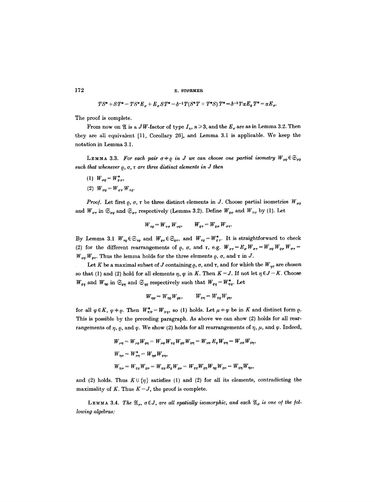$$
TS^* + ST^* = TS^*E_{\sigma} + E_{\sigma}ST^* = \delta^{-1}T(S^*T + T^*S)T^* = \delta^{-1}T\alpha E_{\varrho}T^* = \alpha E_{\sigma}.
$$

The proof is complete.

From now on  $\mathfrak A$  is a JW-factor of type  $I_n$ ,  $n \geq 3$ , and the  $E_{\sigma}$  are as in Lemma 3.2. Then they are all equivalent [11, Corollary 26], and Lemma 3.1 is applicable. We keep the notation in Lemma 3.1.

LEMMA 3.3. For each pair  $\sigma \neq \rho$  in J we can choose one partial isometry  $W_{\sigma\rho} \in \mathfrak{S}_{\sigma\rho}$ such that whenever  $\rho, \sigma, \tau$  are three distinct elements in J then

- (1)  $W_{\sigma\rho} = W_{\rho\sigma}^*$ ,
- (2)  $W_{\sigma q} = W_{\sigma \tau} W_{\tau q}$ .

*Proof.* Let first  $\varrho$ ,  $\sigma$ ,  $\tau$  be three distinct elements in J. Choose partial isometries  $W_{\sigma\varrho}$ and  $W_{\sigma\tau}$  in  $\mathfrak{S}_{\sigma\rho}$  and  $\mathfrak{S}_{\sigma\tau}$  respectively (Lemma 3.2). Define  $W_{\rho\sigma}$  and  $W_{\tau\sigma}$  by (1). Let

$$
W_{\tau e} = W_{\tau \sigma} W_{\sigma e}, \qquad W_{e \tau} = W_{e \sigma} W_{\sigma \tau}.
$$

By Lemma 3.1  $W_{\tau\varrho}\in\mathfrak{S}_{\tau\varrho}$  and  $W_{\varrho\tau}\in\mathfrak{S}_{\varrho\tau}$ , and  $W_{\tau\varrho}=W_{\varrho\tau}^*$ . It is straightforward to check (2) for the different rearrangements of  $\rho$ ,  $\sigma$ , and  $\tau$ , e.g.  $W_{\sigma\tau} = E_{\sigma} W_{\sigma\tau} = W_{\sigma\rho} W_{\rho\sigma} W_{\sigma\tau} =$  $W_{\sigma\rho} W_{\rho\tau}$ . Thus the lemma holds for the three elements  $\rho$ ,  $\sigma$ , and  $\tau$  in J.

Let K be a maximal subset of J containing  $\rho$ ,  $\sigma$ , and  $\tau$ , and for which the  $W_{\eta\varphi}$  are chosen so that (1) and (2) hold for all elements  $\eta$ ,  $\varphi$  in *K*. Then  $K=J$ . If not let  $\eta \in J-K$ . Choose  $W_{\varrho\eta}$  and  $W_{\eta\varrho}$  in  $\mathfrak{S}_{\varrho\eta}$  and  $\mathfrak{S}_{\eta\varrho}$  respectively such that  $W_{\varrho\eta} = W_{\eta\varrho}^*$ . Let

$$
W_{\eta\varphi}=W_{\eta\varrho}W_{\varrho\varphi},\qquad W_{\varphi\eta}=W_{\varphi\varrho}W_{\varrho\eta},
$$

for all  $\varphi \in K$ ,  $\varphi \neq \varrho$ . Then  $W_{\eta\varphi}^* = W_{\varphi\eta}$ , so (1) holds. Let  $\mu \neq \varphi$  be in K and distinct form  $\varrho$ . This is possible by the preceding paragraph. As above we can show (2) holds for all rearrangements of  $\eta$ ,  $\rho$ , and  $\varphi$ . We show (2) holds for all rearrangements of  $\eta$ ,  $\mu$ , and  $\varphi$ . Indeed,

$$
W_{\mu\eta} = W_{\mu\varrho} W_{\varrho\eta} = W_{\mu\varphi} W_{\varrho\varrho} W_{\varrho\eta} = W_{\mu\varphi} E_{\varrho} W_{\varrho\eta} = W_{\mu\varphi} W_{\varrho\eta},
$$
  
\n
$$
W_{\eta\mu} = W_{\mu\eta}^* = W_{\eta\varrho} W_{\varrho\eta},
$$
  
\n
$$
W_{\varrho\mu} = W_{\varrho\varrho} W_{\varrho\mu} = W_{\varrho\varrho} E_{\varrho} W_{\varrho\mu} = W_{\varrho\varrho} W_{\varrho\eta} W_{\eta\varrho} W_{\varrho\mu} = W_{\varrho\eta} W_{\eta\mu},
$$

and (2) holds. Thus  $K \cup \{\eta\}$  satisfies (1) and (2) for all its elements, contradicting the maximality of K. Thus  $K = J$ , the proof is complete.

LEMMA 3.4. The  $\mathfrak{A}_\sigma$ ,  $\sigma \in J$ , are all spatially isomorphic, and each  $\mathfrak{A}_\sigma$  is one of the fol*lowing algebras:*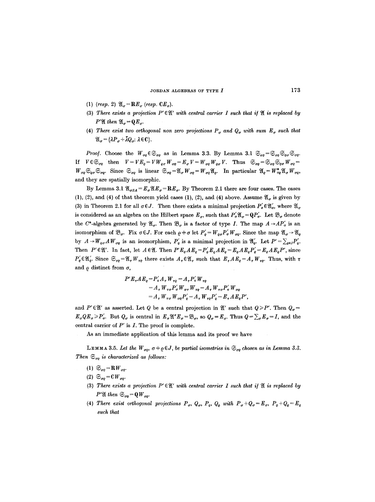- (1) *(resp.* 2)  $\mathfrak{A}_{\sigma} = \mathbf{R}E_{\sigma}$  *(resp.*  $CE_{\sigma}$ ).
- (3) There exists a projection  $P' \in \mathfrak{A}'$  with central carrier I such that if  $\mathfrak{A}$  is replaced by  $P' \mathfrak{A}$  then  $\mathfrak{A}_{\sigma} = \mathbf{Q} E_{\sigma}$ .
- (4) There exist two orthogonal non zero projections  $P_{\sigma}$  and  $Q_{\sigma}$  with sum  $E_{\sigma}$  such that  $\mathfrak{A}_{\sigma} = {\lambda P_{\sigma} + \bar{\lambda} Q_{\sigma}: \lambda \in \mathbb{C}}.$

*Proof.* Choose the  $W_{\sigma\rho} \in \mathfrak{S}_{\sigma\rho}$  as in Lemma 3.3. By Lemma 3.1  $\mathfrak{S}_{\sigma\rho} = \mathfrak{S}_{\sigma\rho} \mathfrak{S}_{\sigma\rho} \mathfrak{S}_{\sigma\rho}$ . If  $V \in \mathfrak{S}_{\sigma Q}$  then  $V = VE_{Q} = VW_{Q\sigma}W_{\sigma Q} = E_{\sigma}V = W_{\sigma Q}W_{\sigma Q}V$ . Thus  $\mathfrak{S}_{\sigma Q} = \mathfrak{S}_{\sigma Q}\mathfrak{S}_{\sigma Q}W_{\sigma Q} =$  $W_{\sigma\rho} \otimes_{\varrho\sigma} \otimes_{\sigma\rho}$ . Since  $\otimes_{\sigma\rho}$  is linear  $\otimes_{\sigma\rho} = \mathfrak{A}_{\sigma} W_{\sigma\rho} = W_{\sigma\rho} \mathfrak{A}_{\rho}$ . In particular  $\mathfrak{A}_{\rho} = W_{\sigma\rho}^* \mathfrak{A}_{\sigma} W_{\sigma\rho}$ and they are spatially isomorphic.

By Lemma 3.1  $\mathfrak{A}_{\sigma SA} = E_{\sigma} \mathfrak{A} E_{\sigma} = \mathbf{R} E_{\sigma}$ . By Theorem 2.1 there are four cases. The cases (1), (2), and (4) of that theorem yield cases (1), (2), and (4) above. Assume  $\mathfrak{A}_{\sigma}$  is given by (3) in Theorem 2.1 for all  $\sigma \in J$ . Then there exists a minimal projection  $P'_{\sigma} \in \mathfrak{A}'_{\sigma}$ , where  $\mathfrak{A}_{\sigma}$ is considered as an algebra on the Hilbert space  $E_{\sigma}$ , such that  $P_{\sigma}' \mathfrak{A}_{\sigma} = \mathbb{Q}P_{\sigma}'$ . Let  $\mathfrak{B}_{\sigma}$  denote the C<sup>\*</sup>-algebra generated by  $\mathfrak{A}_{\sigma}$ . Then  $\mathfrak{B}_{\sigma}$  is a factor of type *I*. The map  $A \rightarrow AP'_{\sigma}$  is an isomorphism of  $\mathfrak{B}_{\sigma}$ . Fix  $\sigma \in J$ . For each  $\rho + \sigma$  let  $P'_{\rho} = W_{\rho \sigma} P'_{\sigma} W_{\sigma \rho}$ . Since the map  $\mathfrak{A}_{\sigma} \to \mathfrak{A}_{\sigma}$ by  $A \to W_{\varrho\sigma} A W_{\sigma\rho}$  is an isomorphism,  $P_{\varrho}$  is a minimal projection in  $\mathfrak{A}'_{\varrho}$ . Let  $P' = \sum_{\varrho \in J} P_{\varrho}$ . Then  $P' \in \mathfrak{A}'$ . In fact, let  $A \in \mathfrak{A}$ . Then  $P' E_{\varrho} A E_{\varrho} = P'_{\varrho} E_{\varrho} A E_{\varrho} = E_{\varrho} A E_{\varrho} P'_{\varrho} = E_{\varrho} A E_{\varrho} P'$ , since  $P'_{\varrho} \in \mathfrak{A}'_k$ . Since  $\mathfrak{S}_{r\rho} = \mathfrak{A}_{r}W_{r\rho}$  there exists  $A_{r} \in \mathfrak{A}_{r}$  such that  $E_{r}AE_{\varrho} = A_{r}W_{r\rho}$ . Thus, with  $\tau$ and  $\rho$  distinct from  $\sigma$ ,

$$
P'E_{\tau}AE_{\varrho} = P_{\tau}'A_{\tau}W_{\tau\varrho} = A_{\tau}P_{\tau}'W_{\tau\varrho}
$$
  
=  $A_{\tau}W_{\tau\sigma}P_{\sigma}'W_{\sigma\tau}W_{\tau\varrho} = A_{\tau}W_{\tau\sigma}P_{\sigma}'W_{\sigma\varrho}$   
=  $A_{\tau}W_{\tau\sigma}W_{\sigma\varrho}P_{\varrho}' = A_{\tau}W_{\tau\varrho}P_{\varrho}' = E_{\tau}AE_{\varrho}P_{\tau}'$ 

and  $P' \in \mathfrak{A}'$  as asserted. Let *Q* be a central projection in  $\mathfrak{A}'$  such that  $Q \ge P'$ . Then  $Q_{\sigma} =$  $E_{\sigma}QE_{\sigma}\geq P'_{\sigma}$ . But  $Q_{\sigma}$  is central in  $E_{\sigma}\mathfrak{A}''E_{\sigma}=\mathfrak{B}_{\sigma}$ , so  $Q_{\sigma}=E_{\sigma}$ . Thus  $Q=\sum_{\sigma}E_{\sigma}=I$ , and the central carrier of  $P'$  is  $I$ . The proof is complete.

As an immediate application of this lemma and its proof we have

LEMMA 3.5. Let the  $W_{\sigma\rho}$ ,  $\sigma \neq \rho \in J$ , be partial isometries in  $\mathfrak{S}_{\sigma\rho}$  chosen as in Lemma 3.3. *Then*  $\mathfrak{S}_{\sigma g}$  *is characterized as follows:* 

- (1)  $\mathfrak{S}_{\sigma q} = \mathbf{R} W_{\sigma q}$ .
- $(2) \mathfrak{S}_{\sigma\rho} = \mathfrak{C}W_{\sigma\rho}$ .
- (3) There exists a projection  $P' \in \mathfrak{A}'$  with central carrier I such that if  $\mathfrak{A}$  is replaced by *P'* $\mathfrak{A}$  *then*  $\mathfrak{S}_{\sigma\varrho} = \mathfrak{Q}W_{\sigma\varrho}$ *.*
- (4) There exist orthogonal projections  $P_{\sigma}$ ,  $Q_{\sigma}$ ,  $P_{\varrho}$ ,  $Q_{\varrho}$  with  $P_{\sigma}+Q_{\sigma}=E_{\sigma}$ ,  $P_{\varrho}+Q_{\varrho}=E_{\varrho}$ *such that*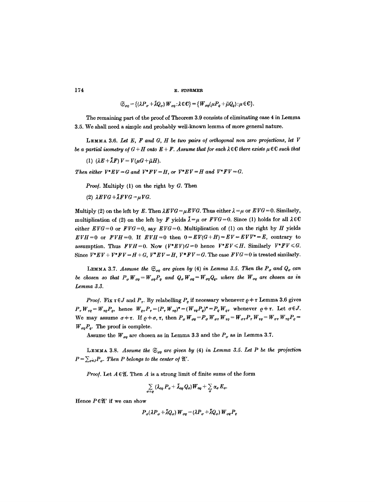$$
\mathfrak{S}_{\sigma\rho} = \{ (\lambda P_{\sigma} + \bar{\lambda} Q_{\sigma}) W_{\sigma\rho} : \lambda \in \mathbb{C} \} = \{ W_{\sigma\rho} (\mu P_{\rho} + \bar{\mu} Q_{\rho}) : \mu \in \mathbb{C} \}.
$$

The remaining part of the proof of Theorem 3.9 consists of eliminating case 4 in Lemma 3.5. We shall need a simple and probably well-known lemma of more general nature.

LEMMA 3.6. Let E, F and G, H be two pairs of orthogonal non zero projections, let V *be a partial isometry of*  $G + H$  *onto*  $E + F$ *. Assume that for each*  $\lambda \in \mathbb{C}$  *there exists*  $\mu \in \mathbb{C}$  *such that* 

(1)  $(\lambda E + \overline{\lambda} F)V = V(\mu G + \overline{\mu} H).$ 

*Then either*  $V^*EV = G$  *and*  $V^*FV = H$ *, or*  $V^*EV = H$  *and*  $V^*FV = G$ *.* 

*Proof.* Multiply (1) on the right by G. Then

(2)  $\lambda EVG + \bar{\lambda}FVG = \mu VG$ .

Multiply (2) on the left by E. Then  $\lambda EVG = \mu EVG$ . Thus either  $\lambda = \mu$  or  $EVG = 0$ . Similarly, multiplication of (2) on the left by F yields  $\bar{\lambda}=\mu$  or  $FVG=0$ . Since (1) holds for all  $\lambda \in \mathbb{C}$ either  $EVG=0$  or  $FVG=0$ , say  $EVG=0$ . Multiplication of (1) on the right by H yields  $EVH=0$  or  $FVH=0$ . If  $EVH=0$  then  $0=EV(G+H)=EV=EVV^*=E$ , contrary to assumption. Thus  $FVH=0$ . Now  $(V*EV)G=0$  hence  $V*EV\leq H$ . Similarly  $V*FV\leq G$ . Since  $V^*EV + V^*FV = H + G$ ,  $V^*EV = H$ ,  $V^*FV = G$ . The case  $FVG = 0$  is treated similarly.

**LEMMA 3.7.** *Assume the*  $\mathfrak{S}_{\sigma o}$  are given by (4) in Lemma 3.5. Then the  $P_{\sigma}$  and  $Q_{\sigma}$  can *be chosen so that*  $P_{\sigma} W_{\sigma q} = W_{\sigma q} P_{\rho}$  and  $Q_{\sigma} W_{\sigma q} = W_{\sigma q} Q_{q}$ , where the  $W_{\sigma q}$  are chosen as in *Lemma 3.3.* 

*Proof.* Fix  $\tau \in J$  and  $P_{\tau}$ . By relabelling  $P_{\rho}$  if necessary whenever  $\rho \neq \tau$  Lemma 3.6 gives  $P_{\tau}W_{\tau e}=W_{\tau e}P_{\varrho}$ , hence  $W_{e\tau}P_{\tau}=(P_{\tau}W_{\tau e})^*=(W_{\tau e}P_{\varrho})^*=P_{e}W_{e\tau}$  whenever  $e\neq\tau$ . Let  $\sigma\in J$ . We may assume  $\sigma = \tau$ . If  $\rho = \sigma, \tau$ , then  $P_{\sigma} W_{\sigma e} = P_{\sigma} W_{\sigma \tau} W_{\tau e} = W_{\sigma \tau} P_{\tau} W_{\tau e} = W_{\sigma \tau} W_{\tau e} P_{e} = \tau$  $W_{\sigma\rho}P_{\varrho}$ . The proof is complete.

Assume the  $W_{\sigma\rho}$  are chosen as in Lemma 3.3 and the  $P_{\sigma}$  as in Lemma 3.7.

LEMMA 3.8. *Assume the*  $\mathfrak{S}_{op}$  are given by (4) in Lemma 3.5. Let P be the projection  $P = \sum_{\sigma \in J} P_{\sigma}$ . Then P belongs to the center of  $\mathfrak{A}'$ .

*Proof.* Let  $A \in \mathfrak{A}$ . Then  $A$  is a strong limit of finite sums of the form

$$
\sum_{\sigma \neq \varrho} \left( \lambda_{\sigma\varrho} P_{\sigma} + \bar{\lambda}_{\sigma\varrho} Q_{\sigma} \right) W_{\sigma\varrho} + \sum_{\sigma} \alpha_{\sigma} E_{\sigma}.
$$

Hence  $P \in \mathfrak{A}'$  if we can show

$$
P_{\sigma}(\lambda P_{\sigma} + \bar{\lambda}Q_{\sigma}) W_{\sigma\rho} = (\lambda P_{\sigma} + \bar{\lambda}Q_{\sigma}) W_{\sigma\rho} P_{\rho}
$$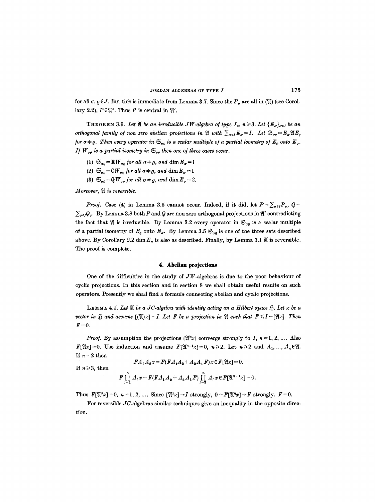for all  $\sigma, \rho \in J$ . But this is immediate from Lemma 3.7. Since the  $P_{\sigma}$  are all in (20) (see Corol. lary 2.2),  $P \in \mathfrak{A}^{\prime\prime}$ . Thus P is central in  $\mathfrak{A}^{\prime\prime}$ .

**THEOREM** 3.9. Let  $\mathfrak{A}$  be an irreducible JW-algebra of type  $I_n$ ,  $n \geq 3$ . Let  ${E_{\sigma}}_{\sigma \in I}$  be an *orthogonal family of non zero abelian projections in*  $\mathfrak{A}$  with  $\sum_{\sigma \in I} E_{\sigma} = I$ . Let  $\mathfrak{S}_{\sigma 0} = E_{\sigma} \mathfrak{A} E_{\rho}$ *for*  $\sigma \neq \rho$ . Then every operator in  $\mathfrak{S}_{\sigma\rho}$  is a scalar multiple of a partial isometry of  $E_{\rho}$  onto  $E_{\sigma}$ . *If*  $W_{\sigma\rho}$  is a partial isometry in  $\mathfrak{S}_{\sigma\rho}$  then one of three cases occur.

- (1)  $\mathfrak{S}_{\sigma\rho} = \mathbb{R} W_{\sigma\rho}$  for all  $\sigma \neq \rho$ , and  $\dim E_{\sigma} = 1$
- (2)  $\mathfrak{S}_{\sigma\rho}$  = CW<sub> $\sigma\varrho$ </sub> for all  $\sigma \neq \varrho$ , and  $\dim E_{\sigma} = 1$
- (3)  $\mathfrak{S}_{\sigma\rho} = \mathbf{Q} W_{\sigma\rho}$  for all  $\sigma \neq \rho$ , and  $\dim E_{\sigma} = 2$ .

*Moreover,*  $\mathfrak{A}$  is reversible.

*Proof.* Case (4) in Lemma 3.5 cannot occur. Indeed, if it did, let  $P = \sum_{\sigma \in I} P_{\sigma}, Q =$  $\sum_{\sigma \in I} Q_{\sigma}$ . By Lemma 3.8 both P and Q are non zero orthogonal projections in  $\mathfrak{A}'$  contradicting the fact that  $\mathfrak A$  is irreducible. By Lemma 3.2 every operator in  $\mathfrak S_{\sigma\varrho}$  is a scalar multiple of a partial isometry of  $E_{\rho}$  onto  $E_{\sigma}$ . By Lemma 3.5  $\mathfrak{S}_{\sigma\rho}$  is one of the three sets described above. By Corollary 2.2 dim  $E_{\sigma}$  is also as described. Finally, by Lemma 3.1  $\mathfrak A$  is reversible. The proof is complete.

# **4. Abeliau projections**

One of the difficulties in the study of  $JW$ -algebras is due to the poor behaviour of cyclic projections. In this section and in section 8 we shall obtain useful results on such operators. Presently we shall find a formula connecting abefian and cyclic projections.

LEMMA 4.1. Let  $\mathfrak A$  be a JC-algebra with identity acting on a Hilbert space  $\mathfrak H$ . Let x be a *vector in*  $\mathfrak{H}$  and assume  $[(\mathfrak{A})x]=I$ . Let F be a projection in  $\mathfrak{A}$  such that  $F \leq I-[\mathfrak{A}x]$ . Then  $F=0$ .

*Proof.* By assumption the projections  $[\mathfrak{X}^n x]$  converge strongly to I,  $n=1, 2, ...$ . Also  $F[{X}x]=0$ . Use induction and assume  $F[{X}^{n-1}x]=0$ ,  $n\geqslant 2$ . Let  $n\geqslant 2$  and  $A_1, ..., A_n\in{X}$ . If  $n=2$  then

 $FA_1A_2x = F(FA_1A_2 + A_2A_1F)x \in F[\mathfrak{A}x] = 0.$ 

If  $n \geqslant 3$ , then

$$
F\prod_{i=1}^n A_i x = F(FA_1A_2 + A_2A_1F)\prod_{i=3}^n A_i x \in F[\mathfrak{A}^{n-1}x] = 0.
$$

Thus  $F[\mathfrak{A}^n x]=0, n=1, 2, \ldots$ . Since  $[\mathfrak{A}^n x]\rightarrow I$  strongly,  $0=F[\mathfrak{A}^n x]\rightarrow F$  strongly.  $F=0$ .

For reversible JC-algebras similar techniques give an inequality in the opposite direction.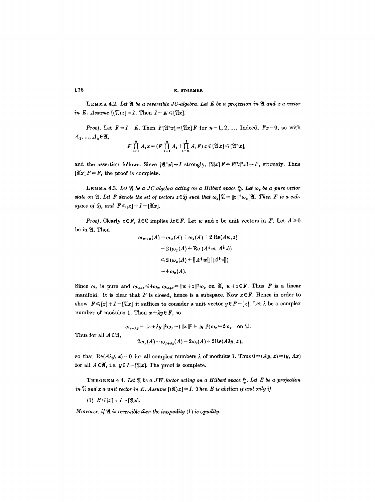LEMMA 4.2. Let  $\mathfrak A$  be a reversible JC-algebra. Let E be a projection in  $\mathfrak A$  and x a vector *in E. Assume*  $[(\mathfrak{A})x] = I$ . Then  $I - E \leq [\mathfrak{A}x]$ .

*Proof.* Let  $F=I-E$ . Then  $F[\mathfrak{X}^n x]=[\mathfrak{X}x]F$  for  $n=1, 2, ...$  Indeed,  $Fx=0$ , so with  $A_1, ..., A_n \in \mathfrak{A},$ 

$$
F\prod_{i=1}^n A_i x = (F\prod_{i=1}^n A_i + \prod_{i=n}^1 A_i F) x \in [\mathfrak{A} x] \leq [\mathfrak{A}^n x],
$$

and the assertion follows. Since  $[\mathfrak{X}^n x] \rightarrow I$  strongly,  $[\mathfrak{X}x]F=F[\mathfrak{X}^n x] \rightarrow F$ , strongly. Thus  $[\mathfrak{A}x] F = F$ , the proof is complete.

LEMMA 4.3. Let  $\mathfrak A$  be a JC-algebra acting on a Hilbert space  $\mathfrak H$ . Let  $\omega_x$  be a pure vector *state on*  $\mathfrak{A}.$  Let F denote the set of vectors  $z \in \mathfrak{H}$  such that  $\omega_z \mathfrak{A} = ||z||^2 \omega_z \mathfrak{A}.$  Then F is a sub*space of*  $\widetilde{\mathfrak{D}}$ *, and*  $F \leq [x] + I - [\mathfrak{A}x]$ *.* 

*Proof.* Clearly  $z \in F$ ,  $\lambda \in \mathbb{C}$  implies  $\lambda z \in F$ . Let w and z be unit vectors in F. Let  $A \geq 0$ be in  $\mathfrak A.$  Then

$$
\omega_{w+z}(A) = \omega_w(A) + \omega_z(A) + 2 \operatorname{Re}(Aw, z)
$$
  
= 2 (\omega\_z(A) + \operatorname{Re} (A^{\dagger} w, A^{\dagger} z))  
< \leq 2 (\omega\_z(A) + ||A^{\dagger} w|| ||A^{\dagger} z||)  
= 4 \omega\_z(A).

Since  $\omega_x$  is pure and  $\omega_{w+z} \leq 4\omega_x$ ,  $\omega_{w+z} = ||w+z||^2 \omega_x$  on  $\mathfrak{A}, w+z \in F$ . Thus F is a linear manifold. It is clear that F is closed, hence is a subspace. Now  $x \in F$ . Hence in order to show  $F \leqslant [x] + I - [\mathfrak{A}x]$  it suffices to consider a unit vector  $y \in F - [x]$ . Let  $\lambda$  be a complex number of modulus 1. Then  $x + \lambda y \in F$ , so

$$
\omega_{x+\lambda y} = ||x+\lambda y||^2 \omega_x = (||x||^2 + ||y||^2) \omega_x = 2\omega_x \text{ on } \mathfrak{A}.
$$
  

$$
2\omega_x(A) = \omega_{x+\lambda y}(A) = 2\omega_x(A) + 2\text{Re}(A\lambda y, x),
$$

so that  $\text{Re}(A\lambda y, x) = 0$  for all complex numbers  $\lambda$  of modulus 1. Thus  $0 = (Ay, x) = (y, Ax)$ for all  $A \in \mathfrak{A}$ , i.e.  $y \in I-[\mathfrak{A}x]$ . The proof is complete.

THEOREM 4.4. Let  $\mathfrak A$  be a JW-factor acting on a Hilbert space  $\mathfrak H$ . Let E be a projection *in*  $\mathfrak A$  and x a unit vector in E. Assume  $[(\mathfrak{A})x] = I$ . Then E is abelian if and only if

(1)  $E \leq [x]+I-[\mathfrak{A}x].$ 

Thus for all  $A \in \mathfrak{A}$ ,

*Moreover, if*  $\mathfrak A$  *is reversible then the inequality (1) is equality.*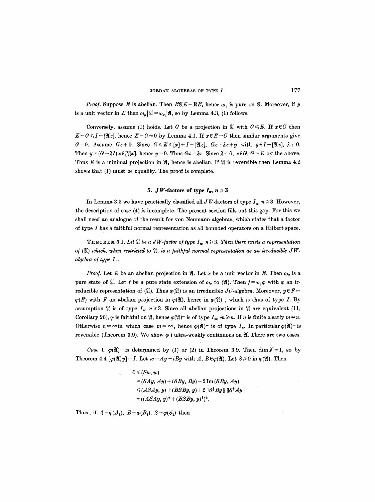*Proof.* Suppose E is abelian. Then  $E\mathfrak{A}E = \mathbf{R}E$ , hence  $\omega_x$  is pure on  $\mathfrak{A}$ . Moreover, if y is a unit vector in E then  $\omega_y|\mathfrak{A}=\omega_x|\mathfrak{A}$ , so by Lemma 4.3, (1) follows.

Conversely, assume (1) holds. Let G be a projection in  $\mathfrak A$  with  $G \leq E$ . If  $x \in G$  then  $E-G \leq I - [\mathfrak{A}x]$ , hence  $E-G=0$  by Lemma 4.1. If  $x \in E-G$  then similar arguments give  $G=0.$  Assume  $Gx+0.$  Since  $G\leq E\leq [x]+I-[Xx], Gx= \lambda x+y$  with  $y\in I-[Xx], \lambda+0.$ Then  $y=(G-\lambda I)x\in[\mathfrak{A}x]$ , hence  $y=0$ . Thus  $Gx=\lambda x$ . Since  $\lambda+0$ ,  $x\in G$ ,  $G=E$  by the above. Thus E is a minimal projection in  $\mathfrak{A}$ , hence is abelian. If  $\mathfrak{A}$  is reversible then Lemma 4.2 shows that (1) must be equality. The proof is complete.

# **5.** JW-factors of type  $I_n$ ,  $n \geq 3$

In Lemma 3.5 we have practically classified all JW-factors of type  $I_n$ ,  $n \geq 3$ . However, the description of case (4) is incomplete. The present section fills out this gap. For this we shall need an analogue of the result for yon Neumann algebras, which states that a factor of type I has a faithful normal representation as all bounded operators on a Hilbert space.

THEOREM 5.1. Let  $\mathfrak A$  be a JW-factor of type  $I_n$ ,  $n \geq 3$ . Then there exists a representation of (*2I*) which, when restricted to *2I*, is a faithful normal representation as an irreducible JW*algebra of type*  $I_n$ *.* 

*Proof.* Let E be an abelian projection in  $\mathfrak{A}$ . Let x be a unit vector in E. Then  $\omega_x$  is a pure state of  $\mathfrak{A}$ . Let f be a pure state extension of  $\omega_x$  to  $(\mathfrak{A})$ . Then  $f = \omega_y \varphi$  with  $\varphi$  an irreducible representation of (Q). Thus  $\varphi(\mathfrak{A})$  is an irreducible JC-algebra. Moreover,  $y \in F =$  $\varphi(E)$  with F an abelian projection in  $\varphi(\mathfrak{A})$ , hence in  $\varphi(\mathfrak{A})$ -, which is thus of type I. By assumption  $\mathfrak A$  is of type  $I_n$ ,  $n\geqslant 3$ . Since all abelian projections in  $\mathfrak A$  are equivalent [11, Corollary 26],  $\varphi$  is faithful on  $\mathfrak{A}$ , hence  $\varphi(\mathfrak{A})^-$  is of type  $I_m$ ,  $m \geq n$ . If n is finite clearly  $m = n$ . Otherwise  $n = \infty$  in which case  $m = \infty$ , hence  $\varphi(\mathfrak{A})$ - is of type  $I_n$ . In particular  $\varphi(\mathfrak{A})$ - is reversible (Theorem 3.9). We show  $\varphi$  i ultra-weakly continuous on  $\mathfrak{A}$ . There are two cases.

*Case 1.*  $\varphi(\mathfrak{A})$ <sup>-</sup> is determined by (1) or (2) in Theorem 3.9. Then dim  $F=1$ , so by Theorem 4.4  $[\varphi(\mathfrak{A})y] = I$ . Let  $w = Ay + iBy$  with A,  $B \in \varphi(\mathfrak{A})$ . Let  $S \geq 0$  in  $\varphi(\mathfrak{A})$ . Then

> $0 \leqslant (Sw, w)$ *= (SAy, Ay) + (SBy, By) -* 2Im *(SBy, Ay)*   $\leq (ASAy, y) + (BSBy, y) + 2 ||S^{\frac{1}{2}}By || ||S^{\frac{1}{2}}Ay||$  $= ((ASAy, y)^{\frac{1}{2}} + (BSBy, y)^{\frac{1}{2}})^2.$

Thus, if  $A = \varphi(A_1)$ ,  $B = \varphi(B_1)$ ,  $S = \varphi(S_1)$  then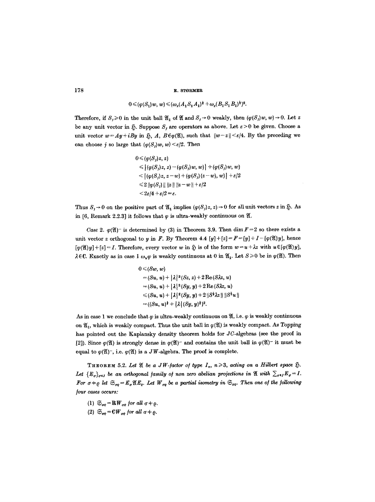$$
0 \leqslant (\varphi(S_1) w, w) \leqslant (\omega_x(A_1 S_1 A_1)^{\frac{1}{2}} + \omega_x(B_1 S_1 B_1)^{\frac{1}{2}})^2.
$$

Therefore, if  $S_r \ge 0$  in the unit ball  $\mathfrak{A}_1$  of  $\mathfrak{A}$  and  $S_r \to 0$  weakly, then  $(\varphi(S_j)w, w) \to 0$ . Let z be any unit vector in  $$.$  Suppose  $S$ , are operators as above. Let  $\varepsilon > 0$  be given. Choose a unit vector  $w=Ay+iBy$  in  $\tilde{y}$ , A,  $B\in\varphi(\mathfrak{A})$ , such that  $||w-z|| \leq \varepsilon/4$ . By the preceding we can choose j so large that  $(\varphi(S_j)w, w) \leq \varepsilon/2$ . Then

$$
0 \leqslant \langle \varphi(S_j)z, z \rangle
$$
  
\n
$$
\leqslant \left| \langle \varphi(S_j)z, z \rangle - \langle \varphi(S_j)w, w \rangle \right| + \langle \varphi(S_j)w, w \rangle
$$
  
\n
$$
\leqslant \left| \langle \varphi(S_j)z, z-w \rangle + \langle \varphi(S_j)(z-w), w \rangle \right| + \varepsilon/2
$$
  
\n
$$
\leqslant 2 \left\| \varphi(S_j) \right\| \left\| z \right\| \left\| z - w \right\| + \varepsilon/2
$$
  
\n
$$
< 2\varepsilon/4 + \varepsilon/2 = \varepsilon.
$$

Thus  $S_i \to 0$  on the positive part of  $\mathfrak{A}_1$  implies  $(\varphi(S_j)z, z) \to 0$  for all unit vectors z in  $\tilde{\mathfrak{D}}$ . As in [6, Remark 2.2.3] it follows that  $\varphi$  is ultra-weakly continuous on  $\mathfrak{A}$ .

*Case 2.*  $\varphi(\mathfrak{A})$  is determined by (3) in Theorem 3.9. Then dim  $F=2$  so there exists a unit vector z orthogonal to y in F. By Theorem 4.4  $[y]+[z]=F=[y]+I-[\varphi(\mathfrak{A})y]$ , hence  $[\varphi(\mathfrak{A})y]+[z]=I$ . Therefore, every vector w in  $\tilde{\mathfrak{y}}$  is of the form  $w=u+\lambda z$  with  $u \in [\varphi(\mathfrak{A})y]$ ,  $\lambda \in \mathbb{C}$ . Exactly as in case 1  $\omega_{\mu} \varphi$  is weakly continuous at 0 in  $\mathfrak{A}_1$ . Let  $S \geq 0$  be in  $\varphi(\mathfrak{A})$ . Then

$$
0 \leq (Sw, w)
$$
  
=  $(Su, u) + |\lambda|^2 (Sz, z) + 2 \operatorname{Re} (S\lambda z, u)$   
=  $(Su, u) + |\lambda|^2 (Sy, y) + 2 \operatorname{Re} (S\lambda z, u)$   
 $\leq (Su, u) + |\lambda|^2 (Sy, y) + 2 ||S^{\frac{1}{2}}\lambda z || ||S^{\frac{1}{2}}u||$   
=  $((Su, u)^{\frac{1}{2}} + |\lambda| (Sy, y)^{\frac{1}{2}})^2$ .

As in case 1 we conclude that  $\varphi$  is ultra-weakly continuous on  $\mathfrak{A}$ , i.e.  $\varphi$  is weakly continuous on  $\mathfrak{A}_1$ , which is weakly compact. Thus the unit ball in  $\varphi(\mathfrak{A})$  is weakly compact. As Topping has pointed out the Kaplansky density theorem holds for JC-algebras (see the proof in [2]). Since  $\varphi(\mathfrak{A})$  is strongly dense in  $\varphi(\mathfrak{A})$ - and contains the unit ball in  $\varphi(\mathfrak{A})$ - it must be equal to  $\varphi(\mathfrak{A})$ <sup>-</sup>, i.e.  $\varphi(\mathfrak{A})$  is a JW-algebra. The proof is complete.

THEOREM 5.2. Let  $\mathfrak A$  be a JW-factor of type  $I_n$ ,  $n\geqslant 3$ , acting on a Hilbert space  $\mathfrak H$ . Let  ${E_{\sigma}}_{\sigma\in I}$  be an orthogonal family of non zero abelian projections in  $\mathfrak{A}$  with  $\sum_{\sigma\in I}E_{\sigma}=I$ . *For*  $\sigma \neq \rho$  let  $\mathfrak{S}_{\sigma\rho} = E_{\sigma} \mathfrak{A} E_{\rho}$ . Let  $W_{\sigma\rho}$  be a partial isometry in  $\mathfrak{S}_{\sigma\rho}$ . Then one of the following  $four$  *cases occurs:* 

- (1)  $\mathfrak{S}_{\sigma\rho} = \mathbf{R} W_{\sigma\rho}$  for all  $\sigma \neq \rho$ .
- (2)  $\mathfrak{S}_{\sigma e} = \mathbb{C}W_{\sigma e}$  for all  $\sigma \neq \varrho$ .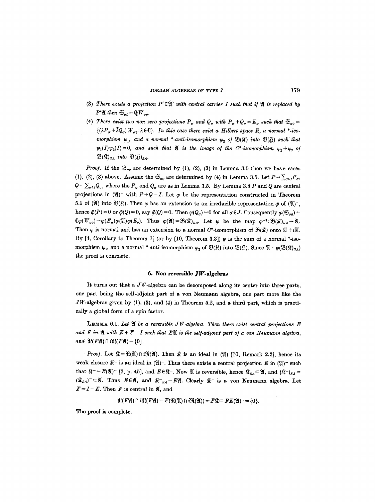- (3) There exists a projection  $P' \in \mathfrak{A}'$  with central carrier I such that if  $\mathfrak{A}$  is replaced by *P'* $\mathfrak{A}$  then  $\mathfrak{S}_{\sigma\rho} = \mathfrak{Q} W_{\sigma\rho}$ .
- (4) There exist two non zero projections  $P_{\sigma}$  and  $Q_{\sigma}$  with  $P_{\sigma}+Q_{\sigma} = E_{\sigma}$  such that  $\mathfrak{S}_{\sigma 0} =$  ${(\lambda P_{\sigma} + \bar{\lambda}Q_{\sigma}) W_{\sigma e}} \cdot \lambda \in \mathbb{C}$ . In this case there exist a Hilbert space  $\Re$ , a normal \*-iso*morphism*  $\psi_1$ , and a normal \*-anti-isomorphism  $\psi_2$  of  $\mathfrak{B}(\mathfrak{F})$  into  $\mathfrak{B}(\mathfrak{H})$  such that  $\psi_1(I)\psi_2(I)=0$ , and such that  $\mathfrak A$  is the image of the C\*-isomorphism  $\psi_1+\psi_2$  of  $\mathfrak{B}(\mathfrak{K})_{SA}$  *into*  $\mathfrak{B}(\mathfrak{H})_{SA}$ .

*Proof.* If the  $\mathfrak{S}_{\sigma\rho}$  are determined by (1), (2), (3) in Lemma 3.5 then we have cases (1), (2), (3) above. Assume the  $\mathfrak{S}_{q\bar{q}}$  are determined by (4) in Lemma 3.5. Let  $P = \sum_{\sigma \in I} P_{\sigma}$ ,  $Q = \sum_{\sigma \in J} Q_{\sigma}$ , where the  $P_{\sigma}$  and  $Q_{\sigma}$  are as in Lemma 3.5. By Lemma 3.8  $P$  and  $Q$  are central projections in  $(\mathfrak{A})^-$  with  $P+Q=I$ . Let  $\varphi$  be the representation constructed in Theorem 5.1 of ( $\mathfrak{A}$ ) into  $\mathfrak{B}(\mathfrak{R})$ . Then  $\varphi$  has an extension to an irreducible representation  $\bar{\varphi}$  of ( $\mathfrak{A}$ )<sup>-</sup>, hence  $\tilde{\varphi}(P) = 0$  or  $\tilde{\varphi}(Q) = 0$ , say  $\tilde{\varphi}(Q) = 0$ . Then  $\varphi(Q_{\sigma}) = 0$  for all  $\sigma \in J$ . Consequently  $\varphi(\mathfrak{S}_{\sigma o}) =$  $C\varphi(W_{\sigma\varrho})=\varphi(E_{\sigma})\varphi(\mathfrak{A})\varphi(E_{\varrho}).$  Thus  $\varphi(\mathfrak{A})=\mathfrak{B}(\mathfrak{A})_{SA}$ . Let  $\psi$  be the map  $\varphi^{-1}:\mathfrak{B}(\mathfrak{A})_{SA}\to\mathfrak{A}$ . Then  $\psi$  is normal and has an extension to a normal C\*-isomorphism of  $\mathfrak{B}(\mathfrak{K})$  onto  $\mathfrak{A}+i\mathfrak{A}$ . By [4, Corollary to Theorem 7] (or by [10, Theorem 3.3])  $\psi$  is the sum of a normal \*-isomorphism  $\psi_1$ , and a normal \*-anti-isomorphism  $\psi_2$  of  $\mathfrak{B}(\mathfrak{K})$  into  $\mathfrak{B}(\mathfrak{H})$ . Since  $\mathfrak{A}=\psi(\mathfrak{B}(\mathfrak{K})_{SA})$ the proof is complete.

## **6. Non reversible JgV-algebras**

It turns out that a  $JW$ -algebra can be decomposed along its center into three parts, one part being the self-adjoint part of a yon Neumarm algebra, one part more like the  $JW$ -algebras given by (1), (3), and (4) in Theorem 5.2, and a third part, which is practically a global form of a spin factor.

LEMMA 6.1. Let  $\mathfrak A$  be a reversible JW-algebra. Then there exist central projections  $E$ and F in  $\mathfrak A$  with  $E + F = I$  such that E $\mathfrak A$  is the self-adjoint part of a von Neumann algebra, *and*  $\mathfrak{R}(F\mathfrak{A}) \cap i\mathfrak{R}(F\mathfrak{A}) = \{0\}.$ 

*Proof.* Let  $\mathcal{R} = \mathcal{R}(\mathfrak{A}) \cap i\mathcal{R}(\mathfrak{A})$ . Then  $\mathcal{R}$  is an ideal in ( $\mathfrak{A}$ ) [10, Remark 2.2], hence its weak closure  $\mathbb{R}^-$  is an ideal in  $(\mathfrak{A})^-$ . Thus there exists a central projection E in  $(\mathfrak{A})^-$  such that  $\hat{R}^- = E(\mathfrak{A})$  [2, p. 45], and  $E \in \hat{R}^-$ . Now  $\mathfrak{A}$  is reversible, hence  $\hat{R}_{SA} \subset \mathfrak{A}$ , and  $(\hat{R}^-)_{SA} =$  $(\widehat{R}_{SA})^{-} \subset \mathfrak{A}$ . Thus  $E \in \mathfrak{A}$ , and  $\widehat{R}_{SA} = E\mathfrak{A}$ . Clearly  $\widehat{R}^{-}$  is a von Neumann algebra. Let  $F = I - E$ . Then F is central in  $\mathfrak{A}$ , and

 $\mathfrak{R}(F\mathfrak{A}) \cap i\mathfrak{R}(F\mathfrak{A}) = F(\mathfrak{R}(\mathfrak{A}) \cap i\mathfrak{R}(\mathfrak{A})) = F\mathfrak{X} \subset FE(\mathfrak{A})^- = \{0\}.$ 

The proof is complete.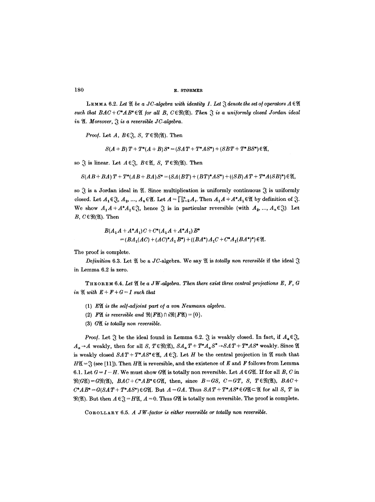**180 ~.. STORM]\$R** 

LEMMA 6.2. Let  $\mathfrak A$  be a JC-algebra with identity I. Let  $\mathfrak A$  denote the set of operators  $A \in \mathfrak A$ such that  $BAC + C^*AB^* \in \mathfrak{A}$  for all  $B, C \in \mathfrak{R}(\mathfrak{A})$ . Then  $\mathfrak{F}$  is a uniformly closed Jordan ideal in  $\mathfrak{A}$ *. Moreover,*  $\mathfrak{F}$  *is a reversible JC-algebra.* 

*Proof.* Let  $A, B \in \mathcal{S}, S, T \in \mathcal{R}(\mathfrak{A})$ . Then

$$
S(A + B) T + T^*(A + B) S^* = (SAT + T^*AS^*) + (SBT + T^*BS^*) \in \mathfrak{A},
$$

so  $\mathfrak{F}$  is linear. Let  $A \in \mathfrak{F}$ ,  $B \in \mathfrak{A}$ ,  $S$ ,  $T \in \mathfrak{R}(\mathfrak{A})$ . Then

$$
S(AB+BA)T+T^*(AB+BA)S^*=(SA(BT)+(BT)^*AS^*)+((SB)AT+T^*A(SB)^*)\in\mathfrak{A},
$$

so  $\mathcal{S}_i$  is a Jordan ideal in  $\mathcal{Y}_i$ . Since multiplication is uniformly continuous  $\mathcal{S}_i$  is uniformly closed. Let  $A_1 \in \mathfrak{F}$ ,  $A_2, ..., A_n \in \mathfrak{A}$ . Let  $A = \prod_{i=2}^n A_i$ . Then  $A_1A + A^*A_1 \in \mathfrak{A}$  by definition of  $\mathfrak{F}$ . We show  $A_1A + A^*A_1 \in \mathcal{S}_1$ , hence  $\mathcal{S}_2$  is in particular reversible (with  $A_2, ..., A_n \in \mathcal{S}_1$ ). Let  $B, C \in \mathfrak{R}(\mathfrak{A})$ . Then

$$
B(A_1A + A^*A_1)C + C^*(A_1A + A^*A_1)B^*
$$
  
=  $(BA_1(AC) + (AC)^*A_1B^*) + ((BA^*)A_1C + C^*A_1(BA^*)^*) \in \mathfrak{A}$ .

The proof is complete.

*Definition* 6.3. Let  $\mathfrak A$  be a JC-algebra. We say  $\mathfrak A$  is *totally non reversible* if the ideal  $\mathfrak F$ in Lemma 6.2 is zero.

THEOREM 6.4. Let  $\mathfrak A$  be a JW-algebra. Then there exist three central projections E, F, G *in*  $\mathfrak{A}$  *with*  $E + F + G = I$  *such that* 

- (I) *E91 is the sel/-adjoint part o/a yon Neumann algebra.*
- (2)  $\mathbb{F}\mathfrak{A}$  is reversible and  $\mathfrak{R}(\mathbb{F}\mathfrak{A})\cap i\mathfrak{R}(\mathbb{F}\mathfrak{A})=\{0\}.$
- (3) *G91 is totally non reversible.*

*Proof.* Let  $\mathcal{F}$  be the ideal found in Lemma 6.2.  $\mathcal{F}$  is weakly closed. In fact, if  $A_{\alpha} \in \mathcal{F}$ ,  $A_{\alpha} \rightarrow A$  weakly, then for all S,  $T \in \mathfrak{R}(\mathfrak{A})$ ,  $SA_{\alpha}T + T^*A_{\alpha}S^* \rightarrow SAT + T^*AS^*$  weakly. Since  $\mathfrak{A}$ is weakly closed  $SAT + T^*AS^* \in \mathfrak{A}$ ,  $A \in \mathfrak{F}$ . Let H be the central projection in  $\mathfrak{A}$  such that  $H\mathfrak{A} = \mathfrak{F}$  (see [11]). Then  $H\mathfrak{A}$  is reversible, and the existence of E and F follows from Lemma 6.1. Let  $G = I - H$ . We must show GN is totally non reversible. Let  $A \in G\mathfrak{A}$ . If for all B, C in  $\mathfrak{R}(G\mathfrak{A})=G\mathfrak{R}(\mathfrak{A}), BAC+C^*AB^*\in G\mathfrak{A}, \text{ then, since } B=GS, C=GT, S, T\in \mathfrak{R}(\mathfrak{A}), BAC+\$  $C^*AB^* = G(SAT + T^*AS^*) \in G\mathfrak{A}$ . But  $A = GA$ . Thus  $SAT + T^*AS^* \in G\mathfrak{A} \subset \mathfrak{A}$  for all S, T in  $\mathfrak{R}(\mathfrak{A})$ . But then  $A \in \mathfrak{F} = H\mathfrak{A}$ ,  $A = 0$ . Thus GR is totally non reversible. The proof is complete.

COROLLARY 6.5. *A JW-[actor is either reversible or totally non reversible.*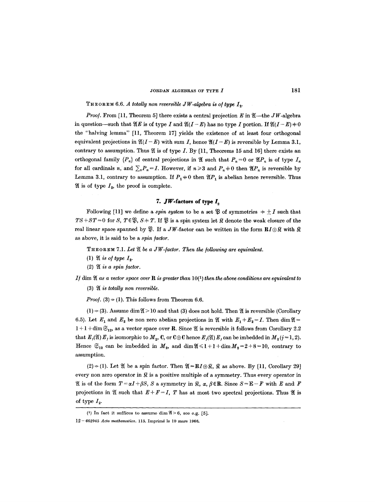THEOREM 6.6. *A totally non reversible JW-algebra is of type*  $I_2$ *.* 

*Proof.* From [11, Theorem 5] there exists a central projection E in  $\mathfrak{A}$ —the JW-algebra in question--such that  $\mathfrak{A} E$  is of type I and  $\mathfrak{A}(I - E)$  has no type I portion. If  $\mathfrak{A}(I - E) \neq 0$ the "halving lemma" [11, Theorem 17] yields the existence of at least four orthogonal equivalent projections in  $\mathfrak{A}(I - E)$  with sum I, hence  $\mathfrak{A}(I - E)$  is reversible by Lemma 3.1, contrary to assumption. Thus  $\mathfrak A$  is of type I. By [11, Theorems 15 and 16] there exists an orthogonal family  $\{P_n\}$  of central projections in  $\mathfrak A$  such that  $P_n = 0$  or  $\mathfrak A(P_n)$  is of type  $I_n$ for all cardinals *n*, and  $\sum_{n} P_n = I$ . However, if  $n \ge 3$  and  $P_n \ne 0$  then  $\mathfrak{A}(P_n)$  is reversible by Lemma 3.1, contrary to assumption. If  $P_1 \neq 0$  then  $\mathfrak{A}(P_1)$  is abelian hence reversible. Thus  $\mathfrak A$  is of type  $I_2$ , the proof is complete.

# **7. JW-faetors of** type Iz

Following [11] we define a *spin system* to be a set  $\mathfrak P$  of symmetries  $\pm \pm I$  such that  $TS+ST=0$  for S,  $T \in \mathfrak{B}$ ,  $S+T$ . If  $\mathfrak{B}$  is a spin system let  $\mathfrak{K}$  denote the weak closure of the real linear space spanned by  $\mathcal{X}$ . If a JW-factor can be written in the form  $\mathbf{R}I \oplus \mathcal{X}$  with  $\mathcal{X}$ as above, it is said to be a *spin ]actor.* 

THEOREM 7.1. Let  $\mathfrak A$  be a JW-factor. Then the following are equivalent.

- $(1)$  If is of type  $I_2$ .
- $(2)$   $\mathfrak A$  *is a spin factor.*

If  $dim \mathfrak{A}$  as a vector space over  $\mathbf R$  is greater than  $10(1)$  then the above conditions are equivalent to

(3)  $\mathfrak A$  *is totally non reversible.* 

*Proof.* (3)  $\Rightarrow$  (1). This follows from Theorem 6.6.

 $(1) \Rightarrow (3)$ . Assume dim  $\mathfrak{A} > 10$  and that (3) does not hold. Then  $\mathfrak{A}$  is reversible (Corollary 6.5). Let  $E_1$  and  $E_2$  be non zero abelian projections in  $\mathfrak A$  with  $E_1 + E_2 = I$ . Then dim  $\mathfrak A =$  $1 + 1 + \dim \mathfrak{S}_{12}$ , as a vector space over **R**. Since  $\mathfrak{A}$  is reversible it follows from Corollary 2.2 that  $E_j(\mathfrak{A}) E_j$  is isomorphic to  $M_2$ , C, or  $\mathbb{C}\oplus\mathbb{C}$  hence  $E_j(\mathfrak{A}) E_j$  can be imbedded in  $M_2(j=1, 2)$ . Hence  $\mathfrak{S}_{12}$  can be imbedded in  $M_2$ , and  $\dim \mathfrak{A} \leq l+1+\dim M_2=2+8=10$ , contrary to assumption.

 $(2) \Rightarrow (1)$ . Let  $\mathfrak{A}$  be a spin factor. Then  $\mathfrak{A} = \mathbf{R}I \oplus \mathfrak{R}$ ,  $\mathfrak{R}$  as above. By [11, Corollary 29] every non zero operator in  $\Re$  is a positive multiple of a symmetry. Thus every operator in  $\mathfrak A$  is of the form  $T=\alpha I+\beta S$ ,  $S$  a symmetry in  $\mathfrak{F}$ ,  $\alpha$ ,  $\beta\in\mathbb{R}$ . Since  $S=E-F$  with E and F projections in  $\mathfrak A$  such that  $E + F = I$ , T has at most two spectral projections. Thus  $\mathfrak A$  is of type  $I_2$ .

<sup>(1)</sup> In fact it suffices to assume dim  $\mathfrak{A} > 6$ , see e.g. [5].

<sup>12 - 662945</sup> *Acta mathematica.* 115. Imprimd le 10 mars 1966.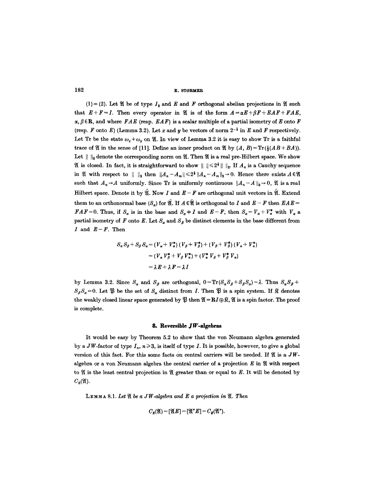$(1) \Rightarrow (2)$ . Let  $\mathfrak A$  be of type  $I_2$  and  $E$  and  $F$  orthogonal abelian projections in  $\mathfrak A$  such that  $E+F=I$ . Then every operator in  $\mathfrak{A}$  is of the form  $A=\alpha E+\beta F+EAF+FAE$ ,  $\alpha$ ,  $\beta \in \mathbb{R}$ , and where  $FAE$  (resp.  $EAF$ ) is a scalar multiple of a partial isometry of E onto F (resp. F onto E) (Lemma 3.2). Let x and y be vectors of norm  $2^{-\frac{1}{2}}$  in E and F respectively. Let Tr be the state  $\omega_x + \omega_y$  on 9. In view of Lemma 3.2 it is easy to show Tr is a faithful trace of  $\mathfrak A$  in the sense of [11]. Define an inner product on  $\mathfrak A$  by  $(A, B) = \text{Tr}(\frac{1}{2}(AB+BA)).$ Let  $|| \cdot ||_2$  denote the corresponding norm on  $\mathfrak{A}$ . Then  $\mathfrak{A}$  is a real pre-Hilbert space. We show If is closed. In fact, it is straightforward to show  $\|\cdot\| \leq 2^{\frac{1}{2}} \|\cdot\|_2$ . If  $A_n$  is a Cauchy sequence in  $\mathfrak A$  with respect to  $||\cdot||_2$  then  $||A_n-A_m||\leq 2^{\frac{1}{2}}||A_n-A_m||_2\to 0$ . Hence there exists  $A\in\mathfrak A$ such that  $A_n \rightarrow A$  uniformly. Since Tr is uniformly continuous  $||A_n - A||_2 \rightarrow 0$ ,  $\mathfrak{A}$  is a real Hilbert space. Denote it by  $\mathfrak{A}.$  Now I and  $E-F$  are orthogonal unit vectors in  $\mathfrak{A}.$  Extend them to an orthonormal base  $(S_{\alpha})$  for  $\mathfrak{A}$ . If  $A \in \mathfrak{A}$  is orthogonal to I and  $E - F$  then  $E A E =$ *FAF*=0. Thus, if  $S_a$  is in the base and  $S_a \neq I$  and  $E-F$ , then  $S_a = V_a + V_a^*$  with  $V_a$  a partial isometry of F onto E. Let  $S_a$  and  $S_\beta$  be distinct elements in the base different from I and  $E-F$ . Then

$$
S_{\alpha} S_{\beta} + S_{\beta} S_{\alpha} = (V_{\alpha} + V_{\alpha}^{*}) (V_{\beta} + V_{\beta}^{*}) + (V_{\beta} + V_{\beta}^{*}) (V_{\alpha} + V_{\alpha}^{*})
$$
  
=  $(V_{\alpha} V_{\beta}^{*} + V_{\beta} V_{\alpha}^{*}) + (V_{\alpha}^{*} V_{\beta} + V_{\beta}^{*} V_{\alpha})$   
=  $\lambda E + \lambda F = \lambda I$ 

by Lemma 3.2. Since  $S_{\alpha}$  and  $S_{\beta}$  are orthogonal,  $0 = Tr(S_{\alpha}S_{\beta} + S_{\beta}S_{\alpha}) = \lambda$ . Thus  $S_{\alpha}S_{\beta} +$  $S_{\beta}S_{\alpha} = 0$ . Let  $\mathfrak{B}$  be the set of  $S_{\alpha}$  distinct from *I*. Then  $\mathfrak{B}$  is a spin system. If  $\mathfrak{K}$  denotes the weakly closed linear space generated by  $\mathfrak{P}$  then  $\mathfrak{A} = \mathbb{R}I \oplus \mathfrak{F}$ ,  $\mathfrak{A}$  is a spin factor. The proof is complete.

### **8. Reversible JW-algebras**

It would be easy by Theorem 5.2 to show that the yon Neumann algebra generated by a JW-factor of type  $I_n$ ,  $n\geq 3$ , is itself of type I. It is possible, however, to give a global version of this fact. For this some facts on central carriers will be needed. If  $\mathfrak A$  is a  $JW$ algebra or a von Neumann algebra the central carrier of a projection  $E$  in  $\mathfrak A$  with respect to  $\mathfrak A$  is the least central projection in  $\mathfrak A$  greater than or equal to E. It will be denoted by  $C_{E}(\mathfrak{A}).$ 

LEMMA 8.1. Let  $\mathfrak A$  be a JW-algebra and E a projection in  $\mathfrak A$ . Then

$$
C_E(\mathfrak{A})=[\mathfrak{A}E]=[\mathfrak{A}^*E]=C_E(\mathfrak{A}^*).
$$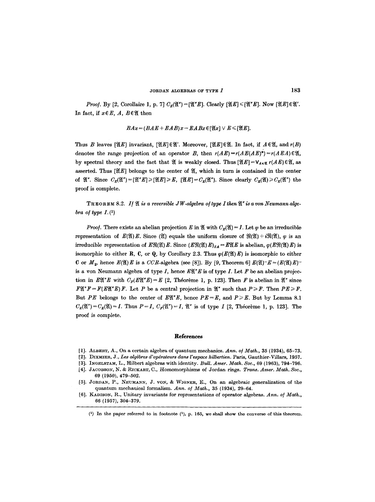*Proof.* By [2, Corollaire 1, p. 7]  $C_E(\mathfrak{A}'')=[\mathfrak{A}'E]$ . Clearly  $[\mathfrak{A}'E]\leq [\mathfrak{A}'E]$ . Now  $[\mathfrak{A}'E]\in \mathfrak{A}'$ . In fact, if  $x \in E$ , A,  $B \in \mathfrak{A}$  then

$$
BAx = (BAE + EAB)x - EABx \in [\mathfrak{A}x] \vee E \leq [\mathfrak{A}E].
$$

Thus B leaves  $[ $\mathfrak{A}E$  invariant,  $[\mathfrak{A}E]\in\mathfrak{A}'$ . Moreover,  $[\mathfrak{A}E]\in\mathfrak{A}$ . In fact, if  $A\in\mathfrak{A}$ , and  $r(B)$$ denotes the range projection of an operator B, then  $r(AE)=r(AE(AE))^*)=r(AEA) \in \mathfrak{A}$ , by spectral theory and the fact that  $\mathfrak A$  is weakly closed. Thus  $[\mathfrak{A}E]=\mathsf{V}_{A\in\mathfrak A}r(AE)\in\mathfrak A$ , as asserted. Thus  $[]$  belongs to the center of  $, which in turn is contained in the center$ of  $\mathfrak{A}''$ . Since  $C_{\mathcal{E}}(\mathfrak{A}'') = [\mathfrak{A}''\mathcal{E}] \geq \mathfrak{A}(\mathfrak{A} \geq \mathcal{E}) \geq C_{\mathfrak{A}}(\mathfrak{A}'')$ . Since clearly  $C_{\mathcal{E}}(\mathfrak{A}) \geq C_{\mathcal{E}}(\mathfrak{A}'')$  the proof is complete.

**THEOREM** 8.2. If  $\mathfrak{A}$  is a reversible JW-algebra of type I then  $\mathfrak{A}$ " is a von Neumann alge*bra of type*  $I.(1)$ 

*Proof.* There exists an abelian projection E in  $\mathfrak{A}$  with  $C_{\kappa}(\mathfrak{A}) = I$ . Let  $\varphi$  be an irreducible representation of  $E(\mathfrak{A})E$ . Since  $(\mathfrak{A})$  equals the uniform closure of  $\mathfrak{R}(\mathfrak{A}) + i\mathfrak{R}(\mathfrak{A})$ ,  $\varphi$  is an irreducible representation of  $E\mathfrak{R}(\mathfrak{A}) E$ . Since  $(E\mathfrak{R}(\mathfrak{A}) E)_{SA} = E\mathfrak{A} E$  is abelian,  $\varphi(E\mathfrak{R}(\mathfrak{A}) E)$  is isomorphic to either R, C, or Q, by Corollary 2.3. Thus  $\varphi(E(\mathfrak{A})E)$  is isomorphic to either C or  $M_2$ , hence  $E(\mathfrak{A})E$  is a *CCR*-algebra (see [8]). By [9, Theorem 6]  $E(\mathfrak{A})E = (E(\mathfrak{A})E)^{-1}$ is a von Neumann algebra of type  $I$ , hence  $E\mathfrak{A}''E$  is of type  $I$ . Let  $F$  be an abelian projection in  $E\mathfrak{A}''E$  with  $C_F(E\mathfrak{A}''E) = E$  [2, Théorème 1, p. 123]. Then F is abelian in  $\mathfrak{A}''$  since  $F\mathfrak{A}^*F=F(E\mathfrak{A}^*E)F$ . Let P be a central projection in  $\mathfrak{A}^*$  such that  $P\geq F$ . Then  $PE\geq F$ . But *PE* belongs to the center of  $E\mathfrak{Y}''E$ , hence  $PE=E$ , and  $P\geq E$ . But by Lemma 8.1  $C_E(\mathfrak{A})=C_E(\mathfrak{A})=I$ . Thus  $P=I$ ,  $C_F(\mathfrak{A})=I$ ,  $\mathfrak{A}$ " is of type I [2, Théorème 1, p. 123]. The proof is complete.

#### **References**

- [1]. ALBERT, A., On a certain algebra of quantum mechanics. Ann. of Math., 35 (1934), 65-73.
- [2]. DIXMIER, J., *Les alg~bres d' op~rateur8 dans t' espace hilbertien.* Paris, Gauthier-Villars, 1957.
- [3]. INGELSTAM, L., Hilbert algebras with identity. *Bull. Amer. Math. Soc.*, 69 (1963), 794-796.
- [4]. JACOBSON, N. & RICKART, C., Homomorphisms of Jordan rings. *Trans. Amer. Math. Soc.*, 69 (1950), 479-502.
- [5]. JORDAN, P., NEUMANN, J. VON, & WIGNER, E., On an algebraic generalization of the quantum mechanical formalism. *Ann. o/ Math.,* 35 (1934), 29-64.
- [6]. KADISON, R., Unitary invariants for representations of operator algebras. Ann. of Math., 66 (1957), 304-379.

<sup>(1)</sup> In the paper referred to in footnote (1), p. 165, we shall show the converse of this theorem.